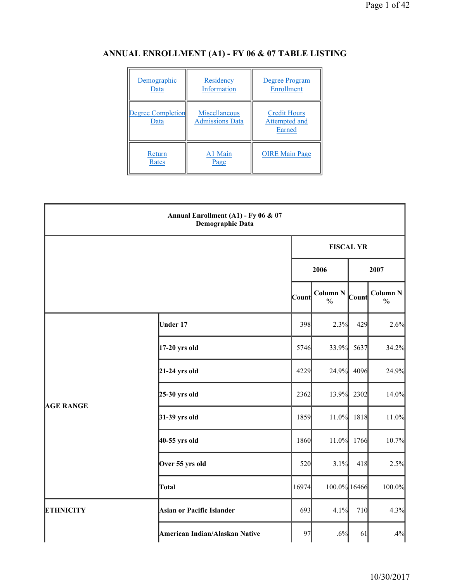| Demographic<br>Data              | Residency<br>Information                | Degree Program<br>Enrollment                   |
|----------------------------------|-----------------------------------------|------------------------------------------------|
| <b>Degree Completion</b><br>Data | Miscellaneous<br><b>Admissions Data</b> | <b>Credit Hours</b><br>Attempted and<br>Earned |
| Return<br>Rates                  | A1 Main<br>Page                         | <b>OIRE</b> Main Page                          |

# **ANNUAL ENROLLMENT (A1) - FY 06 & 07 TABLE LISTING**

|                  | Annual Enrollment (A1) - Fy 06 & 07<br><b>Demographic Data</b> |       |                                  |              |                                      |  |
|------------------|----------------------------------------------------------------|-------|----------------------------------|--------------|--------------------------------------|--|
|                  |                                                                |       | <b>FISCAL YR</b>                 |              |                                      |  |
|                  |                                                                |       | 2006<br>2007                     |              |                                      |  |
|                  |                                                                | Count | <b>Column N</b><br>$\frac{0}{0}$ | <b>Count</b> | Column <sub>N</sub><br>$\frac{0}{0}$ |  |
|                  | <b>Under 17</b>                                                | 398   | 2.3%                             | 429          | 2.6%                                 |  |
|                  | $17-20$ yrs old                                                | 5746  | 33.9%                            | 5637         | 34.2%                                |  |
|                  | $21-24$ yrs old                                                | 4229  | 24.9%                            | 4096         | 24.9%                                |  |
|                  | $25-30$ yrs old                                                | 2362  | 13.9%                            | 2302         | 14.0%                                |  |
| <b>AGE RANGE</b> | $31-39$ yrs old                                                | 1859  | 11.0%                            | 1818         | 11.0%                                |  |
|                  | 40-55 yrs old                                                  | 1860  | 11.0%                            | 1766         | 10.7%                                |  |
|                  | Over 55 yrs old                                                | 520   | 3.1%                             | 418          | 2.5%                                 |  |
|                  | <b>Total</b>                                                   | 16974 | 100.0% 16466                     |              | 100.0%                               |  |
| <b>ETHNICITY</b> | <b>Asian or Pacific Islander</b>                               | 693   | 4.1%                             | 710          | 4.3%                                 |  |
|                  | American Indian/Alaskan Native                                 | 97    | .6%                              | 61           | .4%                                  |  |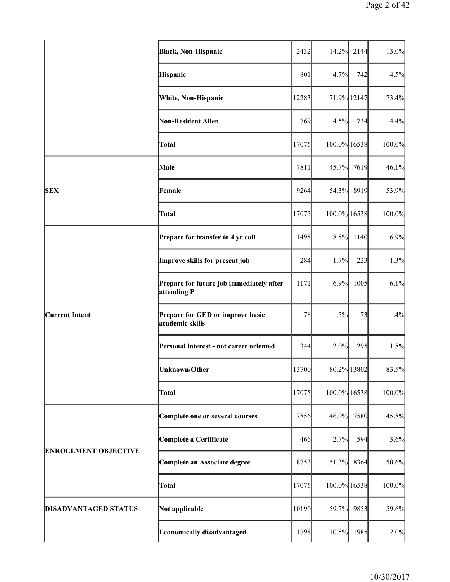|                             | <b>Black, Non-Hispanic</b>                              | 2432  | 14.2%        | 2144        | 13.0%  |
|-----------------------------|---------------------------------------------------------|-------|--------------|-------------|--------|
|                             | Hispanic                                                | 801   | 4.7%         | 742         | 4.5%   |
|                             | White, Non-Hispanic                                     | 12283 |              | 71.9% 12147 | 73.4%  |
|                             | Non-Resident Alien                                      | 769   | 4.5%         | 734         | 4.4%   |
|                             | Total                                                   | 17075 | 100.0% 16538 |             | 100.0% |
|                             | Male                                                    | 7811  | 45.7%        | 7619        | 46.1%  |
| <b>SEX</b>                  | Female                                                  | 9264  | 54.3%        | 8919        | 53.9%  |
|                             | Total                                                   | 17075 | 100.0% 16538 |             | 100.0% |
|                             | Prepare for transfer to 4 yr coll                       | 1498  | 8.8%         | 1140        | 6.9%   |
|                             | Improve skills for present job                          | 284   | 1.7%         | 223         | 1.3%   |
|                             | Prepare for future job immediately after<br>attending P | 1171  | 6.9%         | 1005        | 6.1%   |
| <b>Current Intent</b>       | Prepare for GED or improve basic<br>academic skills     | 78    | $.5\%$       | 73          | .4%    |
|                             | Personal interest - not career oriented                 | 344   | 2.0%         | 295         | 1.8%   |
|                             | Unknown/Other                                           | 13700 |              | 80.2% 13802 | 83.5%  |
|                             | Total                                                   | 17075 | 100.0% 16538 |             | 100.0% |
|                             | Complete one or several courses                         | 7856  | 46.0%        | 7580        | 45.8%  |
|                             | <b>Complete a Certificate</b>                           | 466   | 2.7%         | 594         | 3.6%   |
| <b>ENROLLMENT OBJECTIVE</b> | Complete an Associate degree                            | 8753  | 51.3%        | 8364        | 50.6%  |
|                             | Total                                                   | 17075 | 100.0% 16538 |             | 100.0% |
| <b>DISADVANTAGED STATUS</b> | Not applicable                                          | 10190 | 59.7%        | 9853        | 59.6%  |
|                             | <b>Economically disadvantaged</b>                       | 1798  | 10.5%        | 1985        | 12.0%  |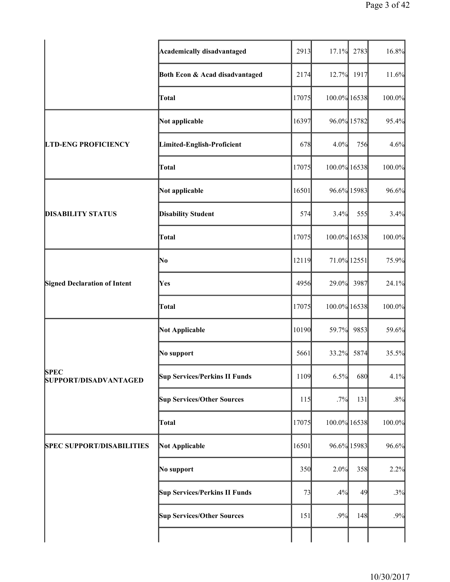|                                             | <b>Academically disadvantaged</b>    | 2913  | 17.1%        | 2783 | 16.8%  |
|---------------------------------------------|--------------------------------------|-------|--------------|------|--------|
|                                             | Both Econ & Acad disadvantaged       | 2174  | 12.7%        | 1917 | 11.6%  |
|                                             | Total                                | 17075 | 100.0% 16538 |      | 100.0% |
|                                             | Not applicable                       | 16397 | 96.0% 15782  |      | 95.4%  |
| <b>LTD-ENG PROFICIENCY</b>                  | Limited-English-Proficient           | 678   | 4.0%         | 756  | 4.6%   |
|                                             | <b>Total</b>                         | 17075 | 100.0% 16538 |      | 100.0% |
|                                             | Not applicable                       | 16501 | 96.6% 15983  |      | 96.6%  |
| <b>DISABILITY STATUS</b>                    | <b>Disability Student</b>            | 574   | 3.4%         | 555  | 3.4%   |
|                                             | <b>Total</b>                         | 17075 | 100.0% 16538 |      | 100.0% |
|                                             | No                                   | 12119 | 71.0% 12551  |      | 75.9%  |
| <b>Signed Declaration of Intent</b>         | Yes                                  | 4956  | 29.0%        | 3987 | 24.1%  |
|                                             | Total                                | 17075 | 100.0% 16538 |      | 100.0% |
|                                             | <b>Not Applicable</b>                | 10190 | 59.7%        | 9853 | 59.6%  |
|                                             | No support                           | 5661  | 33.2%        | 5874 | 35.5%  |
| <b>SPEC</b><br><b>SUPPORT/DISADVANTAGED</b> | <b>Sup Services/Perkins II Funds</b> | 1109  | 6.5%         | 680  | 4.1%   |
|                                             | <b>Sup Services/Other Sources</b>    | 115   | .7%          | 131  | .8%    |
|                                             | Total                                | 17075 | 100.0% 16538 |      | 100.0% |
| <b>SPEC SUPPORT/DISABILITIES</b>            | <b>Not Applicable</b>                | 16501 | 96.6% 15983  |      | 96.6%  |
|                                             | No support                           | 350   | 2.0%         | 358  | 2.2%   |
|                                             | <b>Sup Services/Perkins II Funds</b> | 73    | .4%          | 49   | .3%    |
|                                             | <b>Sup Services/Other Sources</b>    | 151   | .9%          | 148  | .9%    |
|                                             |                                      |       |              |      |        |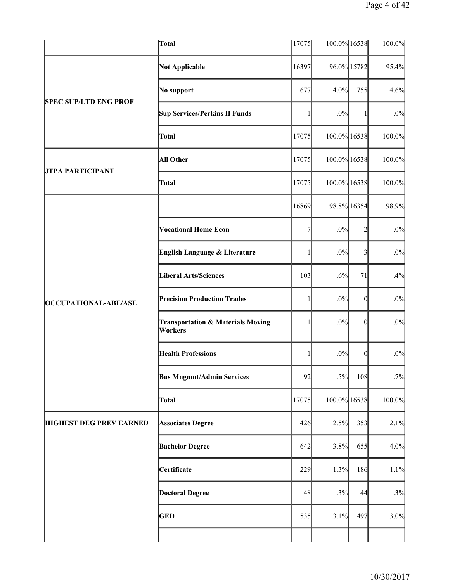|                                | Total                                                   | 17075 | 100.0% 16538 |                         | 100.0% |
|--------------------------------|---------------------------------------------------------|-------|--------------|-------------------------|--------|
|                                | Not Applicable                                          | 16397 |              | 96.0% 15782             | 95.4%  |
|                                | No support                                              | 677   | 4.0%         | 755                     | 4.6%   |
| <b>SPEC SUP/LTD ENG PROF</b>   | <b>Sup Services/Perkins II Funds</b>                    |       | .0%          |                         | .0%    |
|                                | Total                                                   | 17075 | 100.0% 16538 |                         | 100.0% |
|                                | All Other                                               | 17075 | 100.0% 16538 |                         | 100.0% |
| <b>JTPA PARTICIPANT</b>        | Total                                                   | 17075 | 100.0% 16538 |                         | 100.0% |
|                                |                                                         | 16869 |              | 98.8% 16354             | 98.9%  |
|                                | <b>Vocational Home Econ</b>                             | 7     | .0%          | $\overline{2}$          | $.0\%$ |
|                                | English Language & Literature                           |       | .0%          | $\overline{\mathbf{3}}$ | $.0\%$ |
|                                | <b>Liberal Arts/Sciences</b>                            | 103   | .6%          | 71                      | .4%    |
| <b>OCCUPATIONAL-ABE/ASE</b>    | <b>Precision Production Trades</b>                      |       | .0%          | $\theta$                | $.0\%$ |
|                                | <b>Transportation &amp; Materials Moving</b><br>Workers |       | .0%          | $\theta$                | $.0\%$ |
|                                | <b>Health Professions</b>                               |       | .0%          | $\boldsymbol{0}$        | $.0\%$ |
|                                | <b>Bus Mngmnt/Admin Services</b>                        | 92    | $.5\%$       | 108                     | .7%    |
|                                | Total                                                   | 17075 | 100.0% 16538 |                         | 100.0% |
| <b>HIGHEST DEG PREV EARNED</b> | <b>Associates Degree</b>                                | 426   | 2.5%         | 353                     | 2.1%   |
|                                | <b>Bachelor Degree</b>                                  | 642   | 3.8%         | 655                     | 4.0%   |
|                                | Certificate                                             | 229   | 1.3%         | 186                     | 1.1%   |
|                                | <b>Doctoral Degree</b>                                  | 48    | .3%          | 44                      | .3%    |
|                                | <b>GED</b>                                              | 535   | 3.1%         | 497                     | 3.0%   |
|                                |                                                         |       |              |                         |        |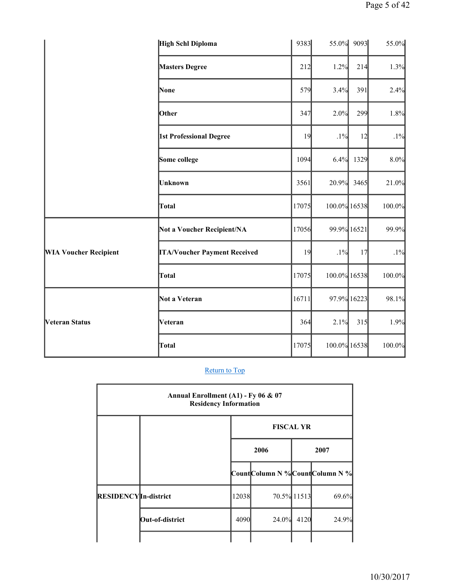|                              | <b>High Schl Diploma</b>            | 9383  | 55.0%        | 9093        | 55.0%  |
|------------------------------|-------------------------------------|-------|--------------|-------------|--------|
|                              | <b>Masters Degree</b>               | 212   | 1.2%         | 214         | 1.3%   |
|                              | None                                | 579   | 3.4%         | 391         | 2.4%   |
|                              | Other                               | 347   | 2.0%         | 299         | 1.8%   |
|                              | 1st Professional Degree             | 19    | $.1\%$       | 12          | $.1\%$ |
|                              | Some college                        | 1094  | 6.4%         | 1329        | 8.0%   |
|                              | <b>Unknown</b>                      | 3561  | 20.9%        | 3465        | 21.0%  |
|                              | Total                               | 17075 | 100.0% 16538 |             | 100.0% |
|                              | Not a Voucher Recipient/NA          | 17056 | 99.9% 16521  |             | 99.9%  |
| <b>WIA Voucher Recipient</b> | <b>ITA/Voucher Payment Received</b> | 19    | $.1\%$       | 17          | .1%    |
|                              | Total                               | 17075 | 100.0% 16538 |             | 100.0% |
| Veteran Status               | Not a Veteran                       | 16711 |              | 97.9% 16223 | 98.1%  |
|                              | Veteran                             | 364   | 2.1%         | 315         | 1.9%   |
|                              | Total                               | 17075 | 100.0% 16538 |             | 100.0% |

r

| Annual Enrollment (A1) - Fy 06 & 07<br><b>Residency Information</b> |                 |       |                  |             |                                |  |  |  |
|---------------------------------------------------------------------|-----------------|-------|------------------|-------------|--------------------------------|--|--|--|
|                                                                     |                 |       | <b>FISCAL YR</b> |             |                                |  |  |  |
|                                                                     |                 |       | 2006             |             | 2007                           |  |  |  |
|                                                                     |                 |       |                  |             | CountColumn N %CountColumn N % |  |  |  |
| <b>RESIDENCY</b> In-district                                        |                 | 12038 |                  | 70.5% 11513 | 69.6%                          |  |  |  |
|                                                                     | Out-of-district | 4090  | 24.0%            | 4120        | 24.9%                          |  |  |  |
|                                                                     |                 |       |                  |             |                                |  |  |  |

٦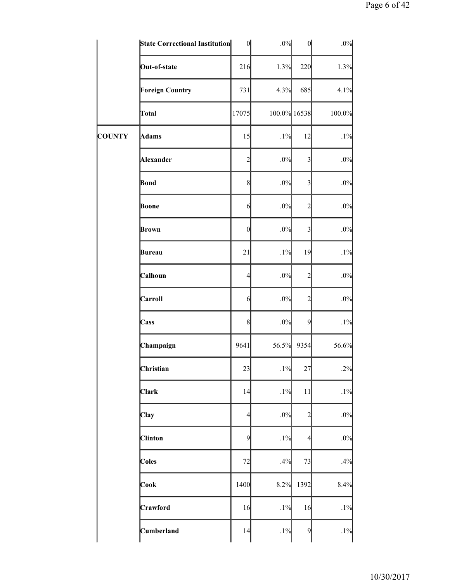|               | <b>State Correctional Institution</b> | $\boldsymbol{0}$ | .0%          | $\mathbf{0}$            | $.0\%$ |
|---------------|---------------------------------------|------------------|--------------|-------------------------|--------|
|               | Out-of-state                          | 216              | 1.3%         | 220                     | 1.3%   |
|               | <b>Foreign Country</b>                | 731              | 4.3%         | 685                     | 4.1%   |
|               | Total                                 | 17075            | 100.0% 16538 |                         | 100.0% |
| <b>COUNTY</b> | Adams                                 | 15               | .1%          | 12                      | $.1\%$ |
|               | Alexander                             | $\overline{c}$   | $.0\%$       | $\overline{\mathbf{3}}$ | $.0\%$ |
|               | Bond                                  | 8                | .0%          | $\overline{\mathbf{3}}$ | $.0\%$ |
|               | Boone                                 | 6                | .0%          | $\overline{2}$          | $.0\%$ |
|               | Brown                                 | $\theta$         | .0%          | $\overline{\mathbf{3}}$ | $.0\%$ |
|               | Bureau                                | 21               | .1%          | 19                      | $.1\%$ |
|               | Calhoun                               | $\overline{4}$   | $.0\%$       | $\overline{c}$          | $.0\%$ |
|               | Carroll                               | 6                | $.0\%$       | $\overline{c}$          | $.0\%$ |
|               | Cass                                  | 8                | .0%          | 9                       | $.1\%$ |
|               | Champaign                             | 9641             | 56.5%        | 9354                    | 56.6%  |
|               | Christian                             | 23               | $.1\%$       | 27                      | .2%    |
|               | <b>Clark</b>                          | 14               | .1%          | 11                      | $.1\%$ |
|               | Clay                                  | $\overline{4}$   | $.0\%$       | $\overline{2}$          | $.0\%$ |
|               | <b>Clinton</b>                        | 9                | $.1\%$       | $\overline{4}$          | .0%    |
|               | Coles                                 | 72               | .4%          | 73                      | .4%    |
|               | Cook                                  | 1400             | 8.2%         | 1392                    | 8.4%   |
|               | Crawford                              | 16               | $.1\%$       | 16                      | $.1\%$ |
|               | Cumberland                            | 14               | $.1\%$       | $\overline{9}$          | $.1\%$ |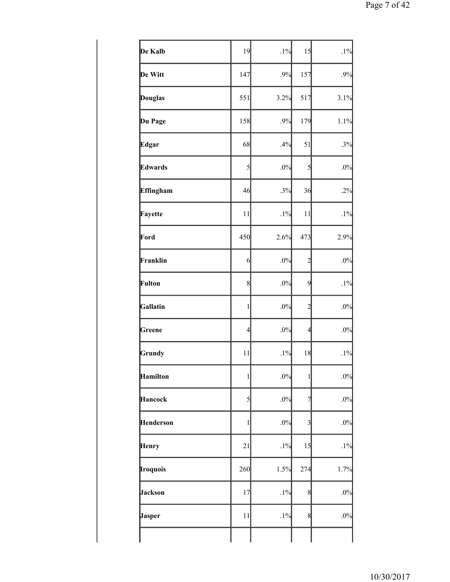| De Kalb          | 19             | .1%    | 15             | $.1\%$ |
|------------------|----------------|--------|----------------|--------|
| De Witt          | 147            | .9%    | 157            | .9%    |
| <b>Douglas</b>   | 551            | 3.2%   | 517            | 3.1%   |
| Du Page          | 158            | .9%    | 179            | 1.1%   |
| <b>Edgar</b>     | 68             | .4%    | 51             | .3%    |
| Edwards          | 5              | .0%    | 5              | .0%    |
| <b>Effingham</b> | 46             | .3%    | 36             | .2%    |
| Fayette          | 11             | .1%    | 11             | $.1\%$ |
| Ford             | 450            | 2.6%   | 473            | 2.9%   |
| Franklin         | $\overline{6}$ | .0%    | $\overline{c}$ | $.0\%$ |
| Fulton           | 8              | .0%    | 9              | $.1\%$ |
| Gallatin         | $\mathbf{1}$   | .0%    | $\overline{c}$ | $.0\%$ |
| Greene           | $\overline{4}$ | .0%    | $\overline{4}$ | $.0\%$ |
| Grundy           | 11             | .1%    | 18             | $.1\%$ |
| Hamilton         | $\mathbf{1}$   | .0%    | $\mathbf{1}$   | $.0\%$ |
| Hancock          | 5              | .0%    | $\overline{7}$ | $.0\%$ |
| <b>Henderson</b> | 1              | .0%    | $\overline{3}$ | $.0\%$ |
| <b>Henry</b>     | 21             | $.1\%$ | 15             | $.1\%$ |
| Iroquois         | 260            | 1.5%   | 274            | 1.7%   |
| Jackson          | 17             | .1%    | 8              | .0%    |
| Jasper           | 11             | .1%    | 8              | $.0\%$ |
|                  |                |        |                |        |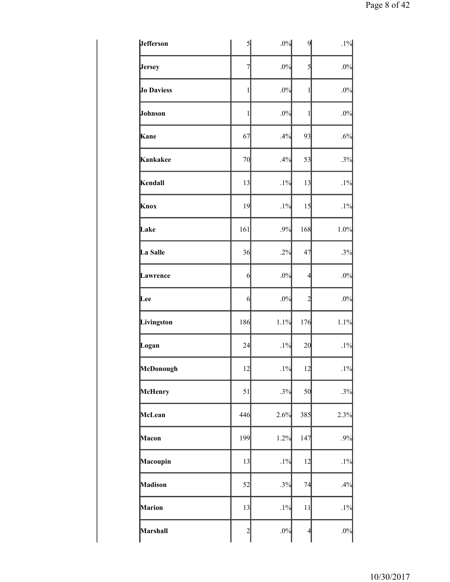| <b>Jefferson</b>  | $\mathcal{S}$  | .0%    | $\overline{9}$ | $.1\%$ |
|-------------------|----------------|--------|----------------|--------|
| <b>Jersey</b>     | $\overline{7}$ | .0%    | $\mathbf{5}$   | $.0\%$ |
| <b>Jo Daviess</b> | $\mathbf{1}$   | .0%    | $\mathbf{1}$   | .0%    |
| Johnson           | 1              | .0%    | $\mathbf{1}$   | .0%    |
| Kane              | 67             | .4%    | 93             | .6%    |
| Kankakee          | 70             | .4%    | 53             | .3%    |
| Kendall           | 13             | $.1\%$ | 13             | $.1\%$ |
| Knox              | 19             | .1%    | 15             | $.1\%$ |
| Lake              | 161            | .9%    | 168            | 1.0%   |
| La Salle          | 36             | .2%    | 47             | .3%    |
| Lawrence          | 6              | .0%    | $\overline{4}$ | .0%    |
| Lee               | $6 \times$     | .0%    | $\overline{c}$ | $.0\%$ |
| Livingston        | 186            | 1.1%   | 176            | 1.1%   |
| Logan             | 24             | $.1\%$ | 20             | $.1\%$ |
| McDonough         | 12             | .1%    | 12             | $.1\%$ |
| McHenry           | 51             | .3%    | 50             | .3%    |
| McLean            | 446            | 2.6%   | 385            | 2.3%   |
| Macon             | 199            | 1.2%   | 147            | .9%    |
| Macoupin          | 13             | .1%    | 12             | $.1\%$ |
| Madison           | 52             | .3%    | 74             | .4%    |
| <b>Marion</b>     | 13             | $.1\%$ | 11             | $.1\%$ |
| Marshall          | $\overline{c}$ | .0%    | $\overline{4}$ | $.0\%$ |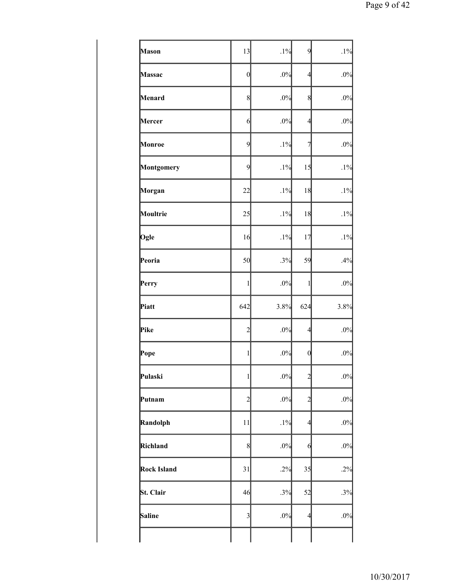| Mason              | 13              | .1%    | 9                | $.1\%$ |
|--------------------|-----------------|--------|------------------|--------|
| Massac             | $\vert 0 \vert$ | .0%    | $\overline{4}$   | $.0\%$ |
| Menard             | $\,$ 8 $\,$     | .0%    | 8                | $.0\%$ |
| Mercer             | $\overline{6}$  | .0%    | $\overline{4}$   | $.0\%$ |
| Monroe             | $\overline{9}$  | .1%    | 7                | $.0\%$ |
| Montgomery         | 9               | $.1\%$ | 15               | $.1\%$ |
| Morgan             | 22              | .1%    | 18               | $.1\%$ |
| Moultrie           | 25              | $.1\%$ | 18               | $.1\%$ |
| Ogle               | 16              | $.1\%$ | 17               | $.1\%$ |
| Peoria             | 50              | .3%    | 59               | .4%    |
| Perry              | 1               | $.0\%$ | $\mathbf{1}$     | $.0\%$ |
| Piatt              | 642             | 3.8%   | 624              | 3.8%   |
| Pike               | $\overline{c}$  | $.0\%$ | $\overline{4}$   | $.0\%$ |
| Pope               | 1               | .0%    | $\boldsymbol{0}$ | .0%    |
| Pulaski            | 1               | $.0\%$ | $\overline{c}$   | $.0\%$ |
| Putnam             | $\overline{c}$  | .0%    | $\overline{c}$   | $.0\%$ |
| Randolph           | 11              | .1%    | $\overline{4}$   | $.0\%$ |
| Richland           | 8               | .0%    | $\theta$         | $.0\%$ |
| <b>Rock Island</b> | 31              | .2%    | 35               | .2%    |
| St. Clair          | 46              | .3%    | 52               | .3%    |
| Saline             | 3               | .0%    | $\overline{4}$   | .0%    |
|                    |                 |        |                  |        |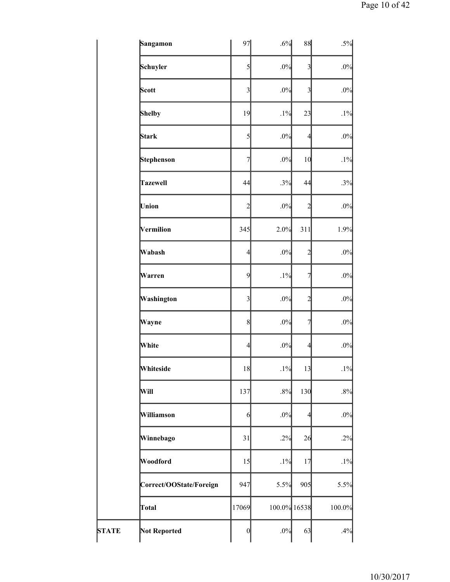|              | Sangamon                | 97               | .6%          | 88                      | $.5\%$ |
|--------------|-------------------------|------------------|--------------|-------------------------|--------|
|              | Schuyler                | 5                | .0%          | $\overline{\mathbf{3}}$ | .0%    |
|              | Scott                   | 3                | .0%          | $\overline{3}$          | $.0\%$ |
|              | <b>Shelby</b>           | 19               | $.1\%$       | 23                      | $.1\%$ |
|              | Stark                   | 5                | .0%          | $\overline{4}$          | $.0\%$ |
|              | Stephenson              | $\overline{7}$   | .0%          | 10                      | $.1\%$ |
|              | <b>Tazewell</b>         | 44               | .3%          | 44                      | .3%    |
|              | Union                   | $\overline{c}$   | $.0\%$       | $\overline{c}$          | .0%    |
|              | Vermilion               | 345              | 2.0%         | 311                     | 1.9%   |
|              | Wabash                  | $\overline{4}$   | .0%          | $\overline{c}$          | $.0\%$ |
|              | Warren                  | 9                | .1%          | $\overline{\tau}$       | $.0\%$ |
|              | Washington              | $\mathfrak{Z}$   | .0%          | $\overline{c}$          | $.0\%$ |
|              | Wayne                   | 8                | .0%          | 7                       | $.0\%$ |
|              | White                   | $\overline{4}$   | .0%          | $\overline{4}$          | $.0\%$ |
|              | Whiteside               | 18               | .1%          | 13                      | $.1\%$ |
|              | Will                    | 137              | .8%          | 130                     | $.8\%$ |
|              | Williamson              | 6                | .0%          | $\overline{4}$          | $.0\%$ |
|              | Winnebago               | 31               | .2%          | 26                      | .2%    |
|              | Woodford                | 15               | $.1\%$       | 17                      | .1%    |
|              | Correct/OOState/Foreign | 947              | 5.5%         | 905                     | 5.5%   |
|              | Total                   | 17069            | 100.0% 16538 |                         | 100.0% |
| <b>STATE</b> | <b>Not Reported</b>     | $\boldsymbol{0}$ | .0%          | 63                      | .4%    |
|              |                         |                  |              |                         |        |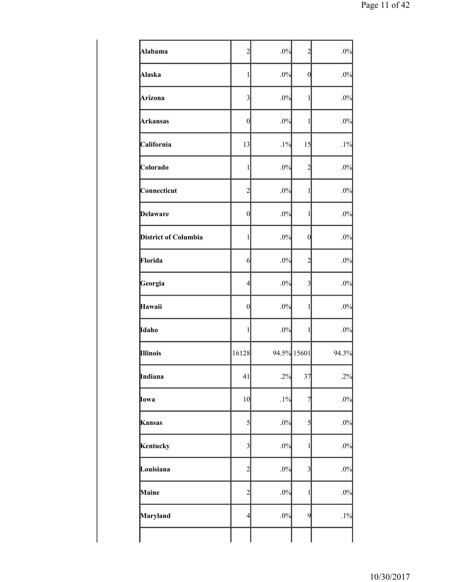| Alabama                     | $\overline{2}$   | .0% | $\overline{c}$ | .0%    |
|-----------------------------|------------------|-----|----------------|--------|
| Alaska                      | $\mathbf{1}$     | .0% | $\mathbf{0}$   | $.0\%$ |
| Arizona                     | 3                | .0% | 1              | $.0\%$ |
| Arkansas                    | $\boldsymbol{0}$ | .0% | 1              | $.0\%$ |
| California                  | 13               | .1% | 15             | $.1\%$ |
| Colorado                    | $\mathbf{1}$     | .0% | $\overline{c}$ | .0%    |
| Connecticut                 | $\overline{c}$   | .0% | 1              | $.0\%$ |
| Delaware                    | $\boldsymbol{0}$ | .0% | $\mathbf{1}$   | .0%    |
| <b>District of Columbia</b> | $\mathbf{1}$     | .0% | 0              | .0%    |
| Florida                     | 6                | .0% | $\overline{c}$ | .0%    |
| Georgia                     | $\overline{4}$   | .0% | $\overline{3}$ | .0%    |
| Hawaii                      | $\boldsymbol{0}$ | .0% | 1              | .0%    |
| Idaho                       | $\mathbf 1$      | .0% | $\mathbf{1}$   | $.0\%$ |
| Illinois                    | 16128            |     | 94.5% 15601    | 94.3%  |
| Indiana                     | 41               | .2% | 37             | .2%    |
| Iowa                        | 10               | .1% | 7              | $.0\%$ |
| Kansas                      | 5                | .0% | $\mathcal{S}$  | .0%    |
| Kentucky                    | 3                | .0% | 1              | $.0\%$ |
| Louisiana                   | $\overline{c}$   | .0% | $\overline{3}$ | $.0\%$ |
| Maine                       | $\overline{c}$   | .0% | $\mathbf{1}$   | .0%    |
| Maryland                    | $\overline{4}$   | .0% | 9              | $.1\%$ |
|                             |                  |     |                |        |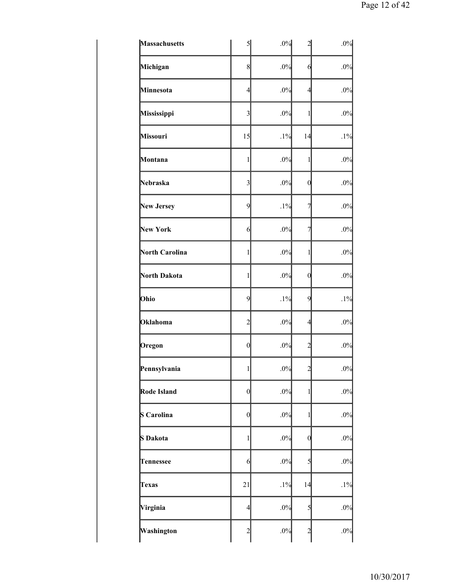| Massachusetts     | $\mathcal{S}$           | .0%    | 2              | $.0\%$ |
|-------------------|-------------------------|--------|----------------|--------|
| Michigan          | 8                       | .0%    | $\mathbf{6}$   | $.0\%$ |
| Minnesota         | $\overline{4}$          | .0%    | 4              | $.0\%$ |
| Mississippi       | $\overline{\mathbf{3}}$ | .0%    | 1              | $.0\%$ |
| <b>Missouri</b>   | 15                      | $.1\%$ | 14             | $.1\%$ |
| Montana           | 1                       | .0%    | 1              | $.0\%$ |
| Nebraska          | $\overline{\mathbf{3}}$ | .0%    | $\mathbf 0$    | .0%    |
| <b>New Jersey</b> | $\overline{9}$          | .1%    | 7              | .0%    |
| <b>New York</b>   | $6 \times$              | .0%    | 7              | .0%    |
| North Carolina    | 1                       | .0%    | 1              | $.0\%$ |
| North Dakota      | $\mathbf{1}$            | .0%    | $\mathbf{0}$   | $.0\%$ |
| Ohio              | $\overline{9}$          | .1%    | 9              | $.1\%$ |
| Oklahoma          | $\overline{c}$          | .0%    | 4              | .0%    |
| Oregon            | $\vert 0 \vert$         | .0%    | $\overline{c}$ | $.0\%$ |
| Pennsylvania      | $\mathbf{1}$            | $.0\%$ | ∠              | $.0\%$ |
| Rode Island       | $\theta$                | $.0\%$ | 1              | .0%    |
| S Carolina        | $\mathbf{0}$            | .0%    | $\mathbf{1}$   | $.0\%$ |
| S Dakota          | $\,1$                   | .0%    | $\mathbf 0$    | $.0\%$ |
| <b>Tennessee</b>  | $6 \times$              | .0%    | 5              | $.0\%$ |
| <b>Texas</b>      | 21                      | $.1\%$ | 14             | $.1\%$ |
| Virginia          | $\overline{4}$          | .0%    | 5              | $.0\%$ |
| Washington        | $\overline{c}$          | .0%    | $\overline{c}$ | $.0\%$ |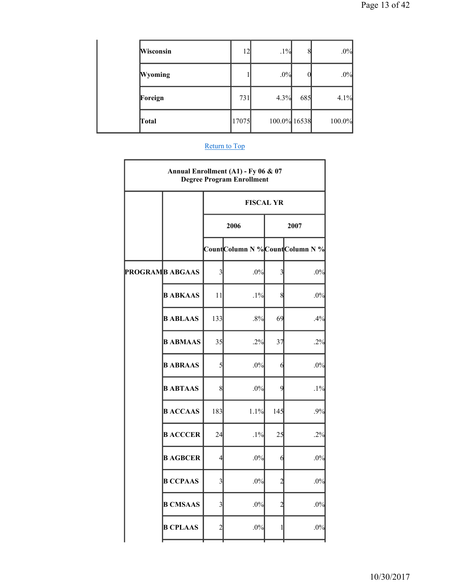| Wisconsin      | 12    | $.1\%$       | 8   | .0%    |
|----------------|-------|--------------|-----|--------|
| <b>Wyoming</b> |       | .0%          |     | .0%    |
| Foreign        | 731   | 4.3%         | 685 | 4.1%   |
| Total          | 17075 | 100.0% 16538 |     | 100.0% |

| Annual Enrollment (A1) - Fy 06 & 07<br><b>Degree Program Enrollment</b> |                        |                         |                                |                         |        |  |  |
|-------------------------------------------------------------------------|------------------------|-------------------------|--------------------------------|-------------------------|--------|--|--|
|                                                                         |                        |                         | <b>FISCAL YR</b>               |                         |        |  |  |
|                                                                         |                        |                         | 2006                           | 2007                    |        |  |  |
|                                                                         |                        |                         | CountColumn N %CountColumn N % |                         |        |  |  |
|                                                                         | <b>PROGRAMB ABGAAS</b> | $\overline{3}$          | $.0\%$                         | $\overline{\mathbf{3}}$ | .0%    |  |  |
|                                                                         | <b>BABKAAS</b>         | 11                      | $.1\%$                         | 8                       | $.0\%$ |  |  |
|                                                                         | <b>BABLAAS</b>         | 133                     | .8%                            | 69                      | .4%    |  |  |
|                                                                         | <b>BABMAAS</b>         | 35                      | .2%                            | 37                      | .2%    |  |  |
|                                                                         | <b>BABRAAS</b>         | $\mathcal{S}$           | $.0\%$                         | 6                       | $.0\%$ |  |  |
|                                                                         | <b>BABTAAS</b>         | 8                       | .0%                            | 9                       | $.1\%$ |  |  |
|                                                                         | <b>BACCAAS</b>         | 183                     | 1.1%                           | 145                     | .9%    |  |  |
|                                                                         | <b>BACCCER</b>         | 24                      | $.1\%$                         | 25                      | .2%    |  |  |
|                                                                         | <b>B AGBCER</b>        | $\overline{4}$          | $.0\%$                         | 6                       | $.0\%$ |  |  |
|                                                                         | <b>B CCPAAS</b>        | $\overline{\mathbf{3}}$ | $.0\%$                         | 2                       | .0%    |  |  |
|                                                                         | <b>B CMSAAS</b>        | 3                       | $.0\%$                         | $\mathfrak{D}$          | .0%    |  |  |
|                                                                         | <b>B CPLAAS</b>        | $\overline{c}$          | $.0\%$                         | 1                       | $.0\%$ |  |  |
|                                                                         |                        |                         |                                |                         |        |  |  |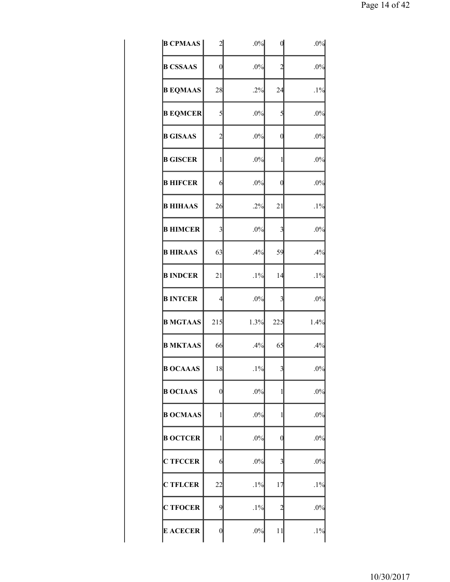| <b>B CPMAAS</b> | 2                | .0%    |                         | .0%    |
|-----------------|------------------|--------|-------------------------|--------|
| <b>B CSSAAS</b> | $\boldsymbol{0}$ | $.0\%$ | $\overline{c}$          | .0%    |
| <b>B EQMAAS</b> | 28               | .2%    | 24                      | .1%    |
| <b>B EQMCER</b> | 5                | $.0\%$ | 5                       | $.0\%$ |
| <b>B GISAAS</b> | $\overline{c}$   | $.0\%$ | 0                       | .0%    |
| <b>B GISCER</b> | $\mathbf{1}$     | $.0\%$ | 1                       | $.0\%$ |
| <b>B HIFCER</b> | 6                | $.0\%$ | 0                       | .0%    |
| <b>B HIHAAS</b> | 26               | .2%    | 21                      | $.1\%$ |
| <b>B HIMCER</b> | 3                | $.0\%$ | 3                       | .0%    |
| <b>B HIRAAS</b> | 63               | .4%    | 59                      | .4%    |
| <b>B INDCER</b> | 21               | $.1\%$ | 14                      | .1%    |
| <b>B INTCER</b> | $\overline{4}$   | $.0\%$ | 3                       | $.0\%$ |
| <b>B MGTAAS</b> | 215              | 1.3%   | 225                     | 1.4%   |
| <b>B MKTAAS</b> | 66               | .4%    | 65                      | .4%    |
| <b>B OCAAAS</b> | 18               | $.1\%$ | $\overline{\mathbf{3}}$ | $.0\%$ |
| <b>B OCIAAS</b> | 0                | $.0\%$ | 1                       | $.0\%$ |
| <b>B OCMAAS</b> | $\mathbf{1}$     | $.0\%$ | 1                       | $.0\%$ |
| <b>B OCTCER</b> | $\mathbf{1}$     | $.0\%$ | 0                       | $.0\%$ |
| <b>C TFCCER</b> | 6                | $.0\%$ | 3                       | $.0\%$ |
| <b>C TFLCER</b> | 22               | $.1\%$ | 17                      | $.1\%$ |
| <b>C TFOCER</b> | 9                | $.1\%$ | 2                       | $.0\%$ |
| <b>E ACECER</b> | $\boldsymbol{0}$ | $.0\%$ | 11                      | $.1\%$ |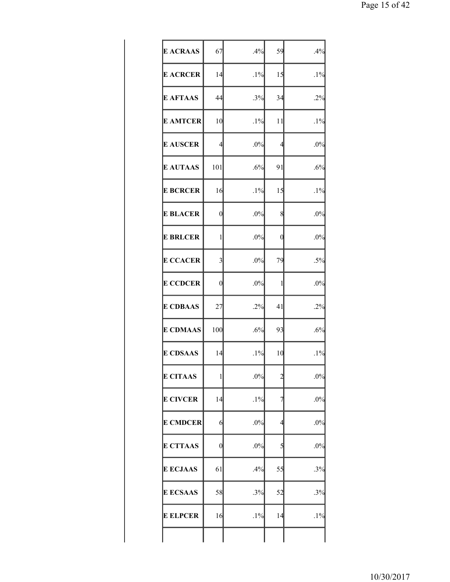| <b>E ACRAAS</b> | 67                      | .4%    | 59 | .4%    |
|-----------------|-------------------------|--------|----|--------|
| <b>E ACRCER</b> | 14                      | $.1\%$ | 15 | $.1\%$ |
| <b>E AFTAAS</b> | 44                      | .3%    | 34 | .2%    |
| <b>E AMTCER</b> | 10                      | $.1\%$ | 11 | $.1\%$ |
| <b>E AUSCER</b> | $\overline{4}$          | $.0\%$ | 4  | $.0\%$ |
| <b>E AUTAAS</b> | 101                     | .6%    | 91 | .6%    |
| <b>E BCRCER</b> | 16                      | $.1\%$ | 15 | $.1\%$ |
| <b>E BLACER</b> | $\overline{0}$          | $.0\%$ | 8  | .0%    |
| <b>E BRLCER</b> | 1                       | $.0\%$ | 0  | .0%    |
| <b>E CCACER</b> | $\overline{\mathbf{3}}$ | .0%    | 79 | $.5\%$ |
| <b>E CCDCER</b> | $\mathbf{0}$            | .0%    | 1  | .0%    |
| <b>E CDBAAS</b> | 27                      | .2%    | 41 | .2%    |
| <b>E CDMAAS</b> | 100                     | .6%    | 93 | .6%    |
| <b>E CDSAAS</b> | 14                      | $.1\%$ | 10 | $.1\%$ |
| <b>E CITAAS</b> | 1                       | $.0\%$ | 2  | $.0\%$ |
| <b>E CIVCER</b> | 14                      | $.1\%$ | 7  | $.0\%$ |
| <b>E CMDCER</b> | 6                       | $.0\%$ | 4  | $.0\%$ |
| <b>E CTTAAS</b> | $\boldsymbol{0}$        | $.0\%$ | 5  | $.0\%$ |
| <b>E ECJAAS</b> | 61                      | .4%    | 55 | .3%    |
| <b>E ECSAAS</b> | 58                      | .3%    | 52 | .3%    |
| <b>E ELPCER</b> | 16                      | $.1\%$ | 14 | $.1\%$ |
|                 |                         |        |    |        |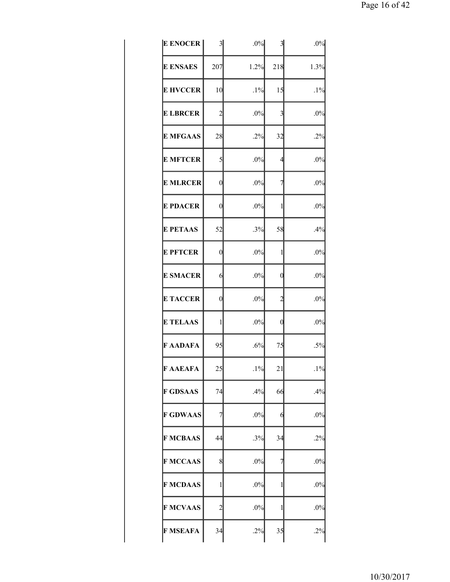| <b>E ENOCER</b> | $\overline{\mathbf{3}}$ | $.0\%$ | 3              | .0%    |
|-----------------|-------------------------|--------|----------------|--------|
| <b>E ENSAES</b> | 207                     | 1.2%   | 218            | 1.3%   |
| <b>E HVCCER</b> | 10                      | $.1\%$ | 15             | $.1\%$ |
| <b>E LBRCER</b> | $\overline{c}$          | .0%    | 3              | $.0\%$ |
| <b>E MFGAAS</b> | 28                      | .2%    | 32             | $.2\%$ |
| <b>E MFTCER</b> | 5                       | .0%    | 4              | $.0\%$ |
| <b>E MLRCER</b> | $\overline{0}$          | $.0\%$ | 7              | $.0\%$ |
| <b>E PDACER</b> | $\overline{0}$          | .0%    | 1              | $.0\%$ |
| <b>E PETAAS</b> | 52                      | .3%    | 58             | .4%    |
| <b>E PFTCER</b> | $\boldsymbol{0}$        | .0%    | 1              | $.0\%$ |
| <b>E SMACER</b> | 6                       | .0%    | $\overline{0}$ | $.0\%$ |
| <b>E TACCER</b> | $\overline{0}$          | .0%    | $\overline{c}$ | $.0\%$ |
| <b>E TELAAS</b> | 1                       | .0%    | 0              | .0%    |
| F AADAFA        | 95                      | .6%    | 75             | $.5\%$ |
| <b>F AAEAFA</b> | 25                      | $.1\%$ | 21             | $.1\%$ |
| <b>F GDSAAS</b> | 74                      | .4%    | 66             | .4%    |
| <b>F GDWAAS</b> | 7                       | .0%    | 6              | $.0\%$ |
| <b>F MCBAAS</b> | 44                      | .3%    | 34             | .2%    |
| <b>F MCCAAS</b> | 8                       | .0%    | 7              | $.0\%$ |
| <b>F MCDAAS</b> | 1                       | $.0\%$ | 1              | $.0\%$ |
| <b>F MCVAAS</b> | $\overline{c}$          | .0%    | 1              | $.0\%$ |
| <b>F MSEAFA</b> | 34                      | .2%    | 35             | .2%    |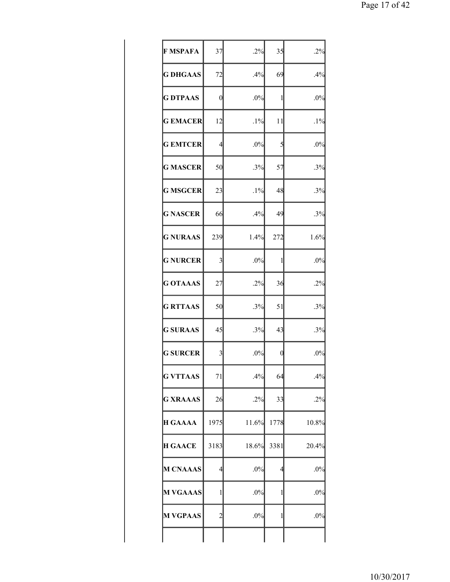| <b>F MSPAFA</b> | 37             | .2%    | 35   | $.2\%$ |
|-----------------|----------------|--------|------|--------|
| <b>G DHGAAS</b> | 72             | .4%    | 69   | .4%    |
| <b>G DTPAAS</b> | 0              | .0%    | 1    | $.0\%$ |
| <b>GEMACER</b>  | 12             | $.1\%$ | 11   | $.1\%$ |
| <b>GEMTCER</b>  | $\overline{4}$ | .0%    | 5    | $.0\%$ |
| <b>G MASCER</b> | 50             | .3%    | 57   | .3%    |
| <b>G MSGCER</b> | 23             | $.1\%$ | 48   | .3%    |
| <b>G NASCER</b> | 66             | .4%    | 49   | .3%    |
| <b>G NURAAS</b> | 239            | 1.4%   | 272  | 1.6%   |
| <b>G NURCER</b> | $\overline{3}$ | .0%    | 1    | $.0\%$ |
| <b>G OTAAAS</b> | 27             | .2%    | 36   | $.2\%$ |
| <b>G RTTAAS</b> | 50             | .3%    | 51   | .3%    |
| <b>G SURAAS</b> | 45             | .3%    | 43   | .3%    |
| <b>G SURCER</b> | 3              | .0%    | 0    | .0%    |
| <b>G VTTAAS</b> | 71             | .4%    | 64   | .4%    |
| <b>G XRAAAS</b> | 26             | .2%    | 33   | .2%    |
| <b>H GAAAA</b>  | 1975           | 11.6%  | 1778 | 10.8%  |
| <b>H GAACE</b>  | 3183           | 18.6%  | 3381 | 20.4%  |
| <b>M CNAAAS</b> | 4              | .0%    | 4    | $.0\%$ |
| <b>M VGAAAS</b> | 1              | .0%    | 1    | $.0\%$ |
| <b>M VGPAAS</b> | $\overline{c}$ | $.0\%$ | 1    | $.0\%$ |
|                 |                |        |      |        |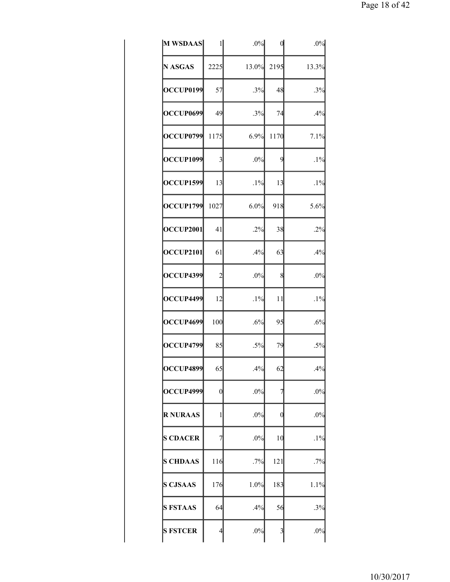| M WSDAAS         | 1              | .0%    |                         | .0%    |
|------------------|----------------|--------|-------------------------|--------|
| <b>N ASGAS</b>   | 2225           | 13.0%  | 2195                    | 13.3%  |
| OCCUP0199        | 57             | .3%    | 48                      | $.3\%$ |
| OCCUP0699        | 49             | .3%    | 74                      | .4%    |
| OCCUP0799        | 1175           | 6.9%   | 1170                    | 7.1%   |
| <b>OCCUP1099</b> | $\overline{3}$ | .0%    | 9                       | $.1\%$ |
| <b>OCCUP1599</b> | 13             | $.1\%$ | 13                      | $.1\%$ |
| <b>OCCUP1799</b> | 1027           | 6.0%   | 918                     | 5.6%   |
| OCCUP2001        | 41             | .2%    | 38                      | .2%    |
| OCCUP2101        | 61             | .4%    | 63                      | .4%    |
| <b>OCCUP4399</b> | $\overline{c}$ | $.0\%$ | 8                       | $.0\%$ |
| OCCUP4499        | 12             | $.1\%$ | 11                      | $.1\%$ |
| OCCUP4699        | 100            | .6%    | 95                      | .6%    |
| <b>OCCUP4799</b> | 85             | $.5\%$ | 79                      | $.5\%$ |
| <b>OCCUP4899</b> | 65             | .4%    | 62                      | .4%    |
| OCCUP4999        | $\overline{0}$ | $.0\%$ | 7                       | $.0\%$ |
| <b>R NURAAS</b>  | $\mathbf{1}$   | $.0\%$ | 0                       | $.0\%$ |
| <b>S CDACER</b>  | 7              | $.0\%$ | 10                      | $.1\%$ |
| <b>S CHDAAS</b>  | 116            | .7%    | 121                     | .7%    |
| <b>S CJSAAS</b>  | 176            | 1.0%   | 183                     | 1.1%   |
| <b>S FSTAAS</b>  | 64             | .4%    | 56                      | .3%    |
| <b>S FSTCER</b>  | $\overline{4}$ | $.0\%$ | $\overline{\mathbf{3}}$ | $.0\%$ |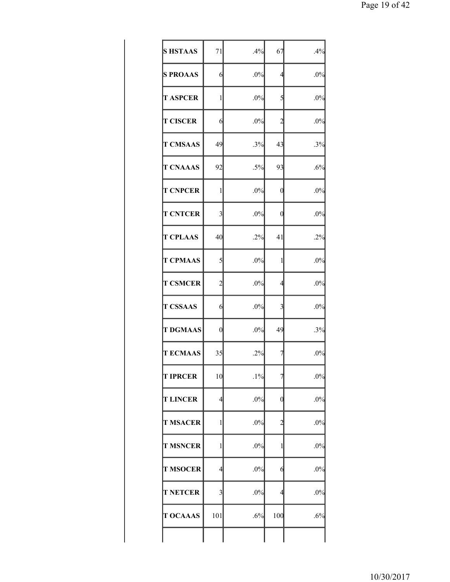| <b>S HSTAAS</b> | 71                      | .4%    | 67               | .4%    |
|-----------------|-------------------------|--------|------------------|--------|
| <b>S PROAAS</b> | 6                       | .0%    | 4                | $.0\%$ |
| <b>T ASPCER</b> | 1                       | .0%    | 5                | $.0\%$ |
| <b>T CISCER</b> | 6                       | .0%    | $\overline{c}$   | .0%    |
| <b>T CMSAAS</b> | 49                      | .3%    | 43               | .3%    |
| <b>T CNAAAS</b> | 92                      | $.5\%$ | 93               | .6%    |
| <b>T CNPCER</b> | 1                       | $.0\%$ | 0                | $.0\%$ |
| <b>T CNTCER</b> | $\overline{\mathbf{3}}$ | .0%    | 0                | $.0\%$ |
| <b>T CPLAAS</b> | 40                      | .2%    | 41               | .2%    |
| <b>T CPMAAS</b> | 5                       | .0%    | 1                | $.0\%$ |
| <b>T CSMCER</b> | $\overline{c}$          | .0%    | 4                | .0%    |
| <b>T CSSAAS</b> | 6                       | .0%    | 3                | $.0\%$ |
| <b>T DGMAAS</b> | $\overline{0}$          | .0%    | 49               | .3%    |
| <b>TECMAAS</b>  | 35                      | .2%    | 7                | $.0\%$ |
| <b>T IPRCER</b> | 10                      | $.1\%$ | $\prime$         | $.0\%$ |
| <b>T LINCER</b> | $\overline{4}$          | $.0\%$ | $\boldsymbol{0}$ | $.0\%$ |
| <b>T MSACER</b> | $\mathbf{1}$            | .0%    | $\overline{2}$   | $.0\%$ |
| <b>T MSNCER</b> | 1                       | $.0\%$ | 1                | $.0\%$ |
| <b>T MSOCER</b> | 4                       | $.0\%$ | 6                | $.0\%$ |
| <b>T NETCER</b> | 3                       | $.0\%$ | $\overline{4}$   | $.0\%$ |
| <b>T OCAAAS</b> | 101                     | .6%    | 100              | .6%    |
|                 |                         |        |                  |        |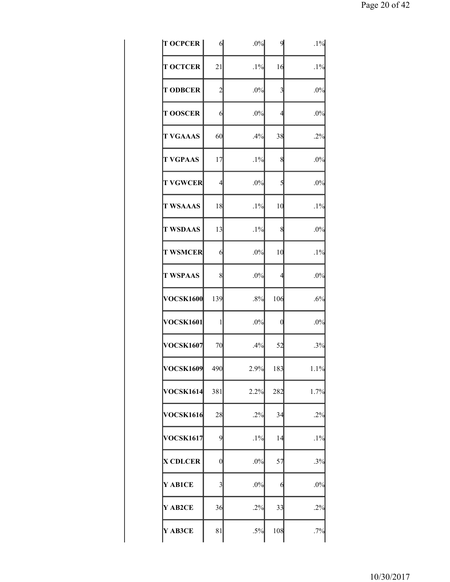| <b>T OCPCER</b>  | 6                | $.0\%$ | 9              | $.1\%$ |
|------------------|------------------|--------|----------------|--------|
| <b>T OCTCER</b>  | 21               | $.1\%$ | 16             | $.1\%$ |
| <b>T ODBCER</b>  | $\overline{c}$   | .0%    | $\overline{3}$ | $.0\%$ |
| <b>T OOSCER</b>  | 6                | .0%    | $\overline{4}$ | .0%    |
| <b>T VGAAAS</b>  | 60               | .4%    | 38             | .2%    |
| <b>T VGPAAS</b>  | 17               | $.1\%$ | 8              | .0%    |
| <b>T VGWCER</b>  | $\overline{4}$   | .0%    | 5              | $.0\%$ |
| <b>T WSAAAS</b>  | 18               | $.1\%$ | 10             | $.1\%$ |
| <b>T WSDAAS</b>  | 13               | $.1\%$ | 8              | $.0\%$ |
| <b>T WSMCER</b>  | 6                | $.0\%$ | 10             | $.1\%$ |
| <b>T WSPAAS</b>  | 8                | .0%    | $\overline{4}$ | $.0\%$ |
| <b>VOCSK1600</b> | 139              | .8%    | 106            | .6%    |
| <b>VOCSK1601</b> | $\mathbf{1}$     | .0%    | 0              | .0%    |
| <b>VOCSK1607</b> | 70               | .4%    | 52             | .3%    |
| <b>OCSK1609</b>  | 490              | 2.9%   | 183            | 1.1%   |
| <b>VOCSK1614</b> | 381              | 2.2%   | 282            | 1.7%   |
| <b>VOCSK1616</b> | 28               | .2%    | 34             | .2%    |
| <b>VOCSK1617</b> | 9                | $.1\%$ | 14             | $.1\%$ |
| <b>X CDLCER</b>  | $\boldsymbol{0}$ | .0%    | 57             | .3%    |
| Y AB1CE          | 3                | .0%    | 6              | $.0\%$ |
| Y AB2CE          | 36               | .2%    | 33             | .2%    |
| Y AB3CE          | 81               | $.5\%$ | 108            | .7%    |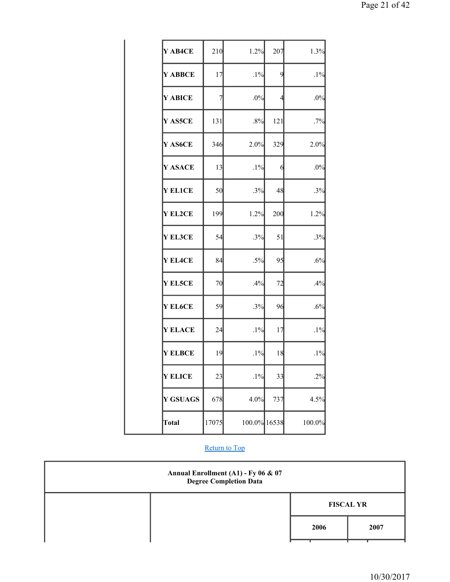| Y AB4CE         | 210   | 1.2%         | 207            | 1.3%   |
|-----------------|-------|--------------|----------------|--------|
| Y ABBCE         | 17    | $.1\%$       | 9              | $.1\%$ |
| Y ABICE         | 7     | $.0\%$       | $\overline{4}$ | $.0\%$ |
| Y AS5CE         | 131   | $.8\%$       | 121            | .7%    |
| Y AS6CE         | 346   | 2.0%         | 329            | 2.0%   |
| Y ASACE         | 13    | $.1\%$       | 6              | $.0\%$ |
| <b>Y ELICE</b>  | 50    | .3%          | 48             | .3%    |
| Y EL2CE         | 199   | 1.2%         | 200            | 1.2%   |
| Y EL3CE         | 54    | .3%          | 51             | .3%    |
| Y EL4CE         | 84    | $.5\%$       | 95             | .6%    |
| <b>Y EL5CE</b>  | 70    | .4%          | 72             | .4%    |
| Y EL6CE         | 59    | .3%          | 96             | .6%    |
| <b>Y ELACE</b>  | 24    | $.1\%$       | 17             | $.1\%$ |
| <b>Y ELBCE</b>  | 19    | $.1\%$       | 18             | $.1\%$ |
| <b>Y ELICE</b>  | 23    | $.1\%$       | 33             | $.2\%$ |
| <b>Y GSUAGS</b> | 678   | 4.0%         | 737            | 4.5%   |
| <b>Total</b>    | 17075 | 100.0% 16538 |                | 100.0% |

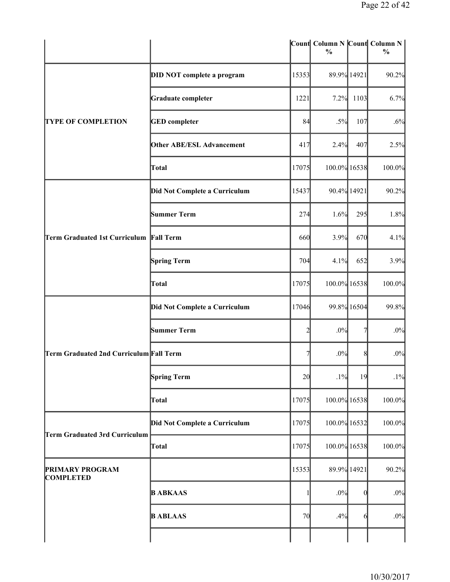|                                            |                                  |       | Count Column N Count Column N<br>$\frac{0}{0}$ |              | $\frac{0}{0}$ |
|--------------------------------------------|----------------------------------|-------|------------------------------------------------|--------------|---------------|
|                                            | DID NOT complete a program       | 15353 |                                                | 89.9% 14921  | 90.2%         |
|                                            | <b>Graduate completer</b>        | 1221  | 7.2%                                           | 1103         | 6.7%          |
| <b>TYPE OF COMPLETION</b>                  | <b>GED</b> completer             | 84    | $.5\%$                                         | 107          | .6%           |
|                                            | <b>Other ABE/ESL Advancement</b> | 417   | 2.4%                                           | 407          | 2.5%          |
|                                            | Total                            | 17075 | 100.0% 16538                                   |              | 100.0%        |
|                                            | Did Not Complete a Curriculum    | 15437 |                                                | 90.4% 14921  | 90.2%         |
|                                            | Summer Term                      | 274   | 1.6%                                           | 295          | 1.8%          |
| <b>Term Graduated 1st Curriculum</b>       | <b>Fall Term</b>                 | 660   | 3.9%                                           | 670          | 4.1%          |
|                                            | Spring Term                      | 704   | 4.1%                                           | 652          | 3.9%          |
|                                            | Total                            | 17075 | 100.0% 16538                                   |              | 100.0%        |
|                                            | Did Not Complete a Curriculum    | 17046 |                                                | 99.8% 16504  | 99.8%         |
|                                            | <b>Summer Term</b>               | 2     | .0%                                            | 71           | $.0\%$        |
| Term Graduated 2nd Curriculum Fall Term    |                                  |       | .0%                                            | 8            | $.0\%$        |
|                                            | Spring Term                      | 20    | $.1\%$                                         | 19           | $.1\%$        |
|                                            | Total                            | 17075 | 100.0% 16538                                   |              | 100.0%        |
| Term Graduated 3rd Curriculum              | Did Not Complete a Curriculum    | 17075 | 100.0% 16532                                   |              | 100.0%        |
|                                            | Total                            | 17075 | 100.0% 16538                                   |              | 100.0%        |
| <b>PRIMARY PROGRAM</b><br><b>COMPLETED</b> |                                  | 15353 |                                                | 89.9% 14921  | 90.2%         |
|                                            | <b>B ABKAAS</b>                  | 1     | .0%                                            | $\mathbf{0}$ | .0%           |
|                                            | <b>B ABLAAS</b>                  | 70    | .4%                                            | 6            | $.0\%$        |
|                                            |                                  |       |                                                |              |               |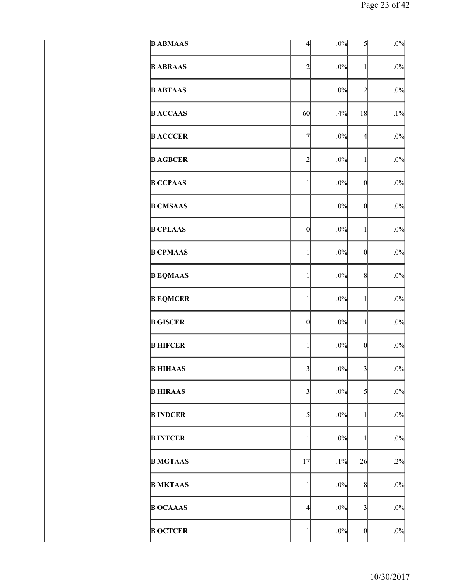| <b>B ABMAAS</b> | $\overline{4}$          | .0%    | $\mathcal{S}$           | $.0\%$ |
|-----------------|-------------------------|--------|-------------------------|--------|
| <b>B ABRAAS</b> | $\overline{c}$          | .0%    | $\mathbf{1}$            | $.0\%$ |
| <b>B ABTAAS</b> | $\mathbf{1}$            | .0%    | $\overline{c}$          | $.0\%$ |
| <b>B</b> ACCAAS | 60                      | .4%    | 18                      | $.1\%$ |
| <b>B ACCCER</b> | $\overline{7}$          | .0%    | $\overline{4}$          | $.0\%$ |
| <b>B AGBCER</b> | $\overline{2}$          | .0%    | 1                       | $.0\%$ |
| <b>B CCPAAS</b> | $\mathbf{1}$            | .0%    | $\mathbf{0}$            | $.0\%$ |
| <b>B CMSAAS</b> | $\mathbf{1}$            | .0%    | $\mathbf{0}$            | $.0\%$ |
| <b>B CPLAAS</b> | $\mathbf{0}$            | .0%    | 1                       | $.0\%$ |
| <b>B CPMAAS</b> | $\mathbf{1}$            | .0%    | $\mathbf{0}$            | $.0\%$ |
| <b>B EQMAAS</b> | $\mathbf{1}$            | .0%    | 8                       | $.0\%$ |
| <b>B EQMCER</b> | 1                       | .0%    | 1                       | $.0\%$ |
| <b>B GISCER</b> | $\mathbf{0}$            | .0%    | $\mathbf{1}$            | $.0\%$ |
| <b>B HIFCER</b> | $\mathbf{1}$            | .0%    | $\theta$                | $.0\%$ |
| <b>B HIHAAS</b> | $\overline{\mathbf{3}}$ | $.0\%$ | $\overline{\mathbf{3}}$ | $.0\%$ |
| <b>B HIRAAS</b> | $\overline{3}$          | .0%    | 5                       | $.0\%$ |
| <b>B INDCER</b> | $\mathcal{S}$           | .0%    | 1                       | $.0\%$ |
| <b>B INTCER</b> | 1                       | .0%    | 1                       | $.0\%$ |
| <b>B MGTAAS</b> | 17                      | $.1\%$ | 26                      | .2%    |
| <b>B MKTAAS</b> | $\mathbf{1}$            | .0%    | 8                       | $.0\%$ |
| <b>B OCAAAS</b> | $\overline{4}$          | .0%    | $\overline{3}$          | $.0\%$ |
| <b>B OCTCER</b> | $\mathbf{1}$            | $.0\%$ | $\theta$                | $.0\%$ |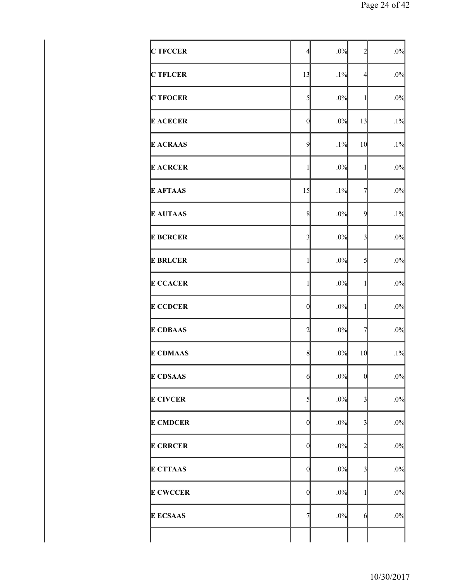| <b>C TFCCER</b> | $\overline{4}$          | .0%    | $\overline{c}$          | $.0\%$ |
|-----------------|-------------------------|--------|-------------------------|--------|
| <b>C TFLCER</b> | 13                      | $.1\%$ | $\overline{4}$          | $.0\%$ |
| <b>C TFOCER</b> | $\mathcal{S}$           | $.0\%$ | 1                       | $.0\%$ |
| <b>E ACECER</b> | $\mathbf{0}$            | .0%    | 13                      | $.1\%$ |
| <b>E ACRAAS</b> | $\overline{9}$          | $.1\%$ | 10                      | $.1\%$ |
| <b>E ACRCER</b> | $\mathbf{1}$            | $.0\%$ | 1                       | $.0\%$ |
| <b>E AFTAAS</b> | 15                      | $.1\%$ | $\overline{7}$          | $.0\%$ |
| <b>E AUTAAS</b> | 8                       | .0%    | 9                       | $.1\%$ |
| <b>E BCRCER</b> | $\overline{\mathbf{3}}$ | .0%    | $\overline{3}$          | $.0\%$ |
| <b>E BRLCER</b> | $\mathbf{1}$            | .0%    | 5                       | $.0\%$ |
| <b>E CCACER</b> | $\mathbf{1}$            | .0%    | 1                       | $.0\%$ |
| <b>E CCDCER</b> | $\theta$                | .0%    | 1                       | $.0\%$ |
| <b>E CDBAAS</b> | $\overline{c}$          | .0%    | $\overline{7}$          | $.0\%$ |
| <b>E CDMAAS</b> | 8                       | .0%    | 10                      | $.1\%$ |
| <b>E CDSAAS</b> | $\mathbf{6}$            | $.0\%$ | $\boldsymbol{0}$        | $.0\%$ |
| <b>E CIVCER</b> | $\mathbf{5}$            | $.0\%$ | $\overline{\mathbf{3}}$ | $.0\%$ |
| <b>E CMDCER</b> | $\mathbf{0}$            | .0%    | 3                       | $.0\%$ |
| <b>E CRRCER</b> | $\theta$                | $.0\%$ | $\overline{c}$          | $.0\%$ |
| <b>E CTTAAS</b> | $\theta$                | .0%    | 3                       | $.0\%$ |
| <b>E CWCCER</b> | $\mathbf{0}$            | .0%    | 1                       | $.0\%$ |
| <b>E ECSAAS</b> | $\overline{7}$          | $.0\%$ | 6                       | $.0\%$ |
|                 |                         |        |                         |        |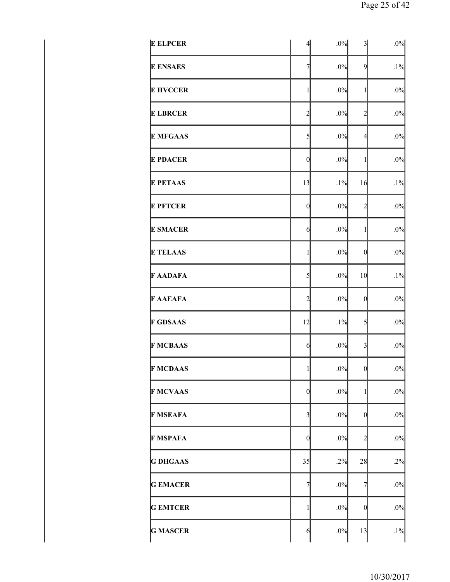| <b>E ELPCER</b> | $\overline{4}$ | .0%    | $\overline{\mathbf{3}}$ | $.0\%$ |
|-----------------|----------------|--------|-------------------------|--------|
| <b>E ENSAES</b> | $\overline{7}$ | .0%    | $\overline{9}$          | $.1\%$ |
| <b>E HVCCER</b> | $\mathbf{1}$   | .0%    | $\mathbf{1}$            | $.0\%$ |
| <b>E LBRCER</b> | $\overline{c}$ | .0%    | $\overline{c}$          | $.0\%$ |
| <b>E MFGAAS</b> | $\mathcal{S}$  | .0%    | $\overline{4}$          | $.0\%$ |
| <b>E PDACER</b> | $\mathbf{0}$   | .0%    | 1                       | $.0\%$ |
| <b>E PETAAS</b> | 13             | $.1\%$ | 16                      | $.1\%$ |
| <b>E PFTCER</b> | $\mathbf{0}$   | .0%    | $\overline{c}$          | $.0\%$ |
| <b>E SMACER</b> | $\mathbf{6}$   | .0%    | 1                       | $.0\%$ |
| <b>E TELAAS</b> | 1              | .0%    | $\theta$                | $.0\%$ |
| <b>F AADAFA</b> | $\mathbf{5}$   | .0%    | 10                      | $.1\%$ |
| <b>F AAEAFA</b> | $\overline{c}$ | .0%    | $\mathbf{0}$            | $.0\%$ |
| <b>F GDSAAS</b> | 12             | $.1\%$ | $\overline{5}$          | $.0\%$ |
| <b>F MCBAAS</b> | 6              | .0%    | $\overline{3}$          | $.0\%$ |
| <b>F MCDAAS</b> | $\mathbf{1}$   | $.0\%$ | $\mathbf{0}$            | $.0\%$ |
| <b>F MCVAAS</b> | $\mathbf{0}$   | .0%    | 1                       | $.0\%$ |
| <b>F MSEAFA</b> | $\overline{3}$ | .0%    | $\mathbf{0}$            | $.0\%$ |
| <b>F MSPAFA</b> | $\mathbf{0}$   | .0%    | $\overline{c}$          | $.0\%$ |
| <b>G DHGAAS</b> | 35             | .2%    | 28                      | .2%    |
| <b>GEMACER</b>  | $\overline{7}$ | .0%    | 7                       | $.0\%$ |
| <b>GEMTCER</b>  | 1              | .0%    | $\theta$                | $.0\%$ |
| <b>G MASCER</b> | $\mathcal{L}$  | .0%    | 13                      | $.1\%$ |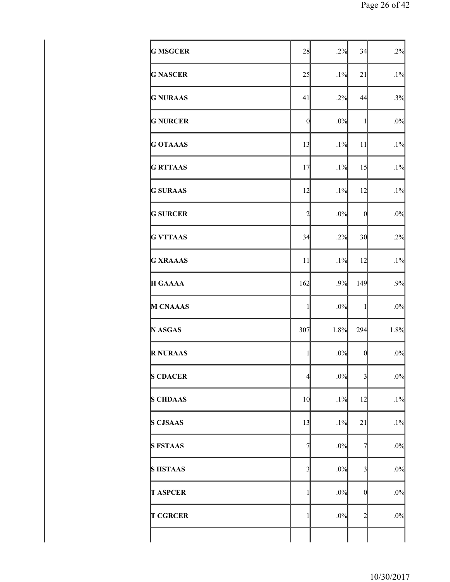| <b>G MSGCER</b> | 28                      | .2%    | 34                      | .2%    |
|-----------------|-------------------------|--------|-------------------------|--------|
| <b>G NASCER</b> | 25                      | .1%    | 21                      | $.1\%$ |
| <b>G NURAAS</b> | 41                      | .2%    | 44                      | .3%    |
| <b>G NURCER</b> | $\mathbf{0}$            | .0%    | $\mathbf{1}$            | $.0\%$ |
| <b>G OTAAAS</b> | 13                      | .1%    | 11                      | $.1\%$ |
| <b>G RTTAAS</b> | 17                      | $.1\%$ | 15                      | $.1\%$ |
| <b>G SURAAS</b> | 12                      | $.1\%$ | 12                      | $.1\%$ |
| <b>G SURCER</b> | $\overline{c}$          | .0%    | $\mathbf{0}$            | $.0\%$ |
| <b>G VTTAAS</b> | 34                      | .2%    | 30                      | .2%    |
| <b>G XRAAAS</b> | 11                      | $.1\%$ | 12                      | $.1\%$ |
| <b>H GAAAA</b>  | 162                     | .9%    | 149                     | .9%    |
| M CNAAAS        | $\mathbf{1}$            | .0%    | $\mathbf{1}$            | $.0\%$ |
| N ASGAS         | 307                     | 1.8%   | 294                     | 1.8%   |
| <b>R NURAAS</b> | $\mathbf{1}$            | $.0\%$ | $\mathbf{0}$            | $.0\%$ |
| <b>S CDACER</b> | $\overline{4}$          | $.0\%$ | $\overline{\mathbf{3}}$ | $.0\%$ |
| <b>S CHDAAS</b> | 10                      | .1%    | 12                      | $.1\%$ |
| <b>S CJSAAS</b> | 13                      | .1%    | 21                      | $.1\%$ |
| <b>S FSTAAS</b> | $\overline{7}$          | $.0\%$ | 7                       | $.0\%$ |
| <b>SHSTAAS</b>  | $\overline{\mathbf{3}}$ | $.0\%$ | $\overline{3}$          | $.0\%$ |
| <b>T ASPCER</b> | $\mathbf{1}$            | $.0\%$ | $\boldsymbol{0}$        | $.0\%$ |
| <b>T CGRCER</b> | $\mathbf{1}$            | $.0\%$ | $\overline{c}$          | $.0\%$ |
|                 |                         |        |                         |        |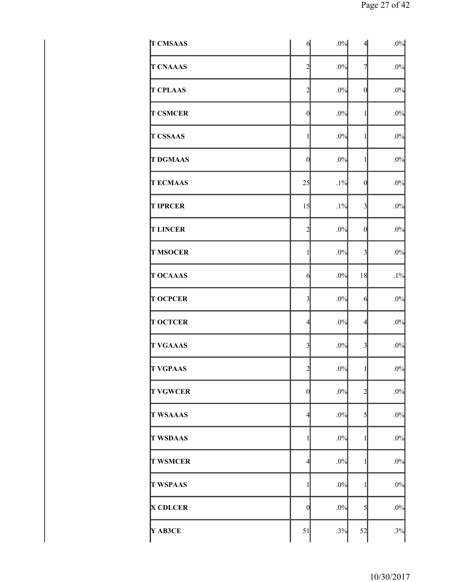| <b>T CMSAAS</b> | 6                       | .0%    | $\overline{4}$   | $.0\%$ |
|-----------------|-------------------------|--------|------------------|--------|
| <b>T CNAAAS</b> | $\overline{c}$          | .0%    | $\overline{7}$   | $.0\%$ |
| <b>T CPLAAS</b> | $\overline{c}$          | .0%    | $\mathbf{0}$     | $.0\%$ |
| <b>T CSMCER</b> | $\mathbf{0}$            | .0%    | 1                | $.0\%$ |
| <b>T CSSAAS</b> | $\mathbf{1}$            | .0%    | 1                | $.0\%$ |
| <b>T DGMAAS</b> | $\mathbf{0}$            | .0%    | 1                | $.0\%$ |
| <b>TECMAAS</b>  | 25                      | $.1\%$ | $\mathbf{0}$     | $.0\%$ |
| <b>T IPRCER</b> | 15                      | $.1\%$ | $\overline{3}$   | $.0\%$ |
| <b>T LINCER</b> | $\overline{c}$          | .0%    | $\boldsymbol{0}$ | $.0\%$ |
| <b>T MSOCER</b> | $\mathbf{1}$            | .0%    | $\overline{3}$   | $.0\%$ |
| <b>T OCAAAS</b> | 6                       | .0%    | 18               | $.1\%$ |
| <b>T OCPCER</b> | $\overline{\mathbf{3}}$ | $.0\%$ | 6                | $.0\%$ |
| <b>T OCTCER</b> | $\overline{4}$          | $.0\%$ | $\overline{4}$   | $.0\%$ |
| <b>T VGAAAS</b> | $\overline{3}$          | .0%    | $\overline{3}$   | $.0\%$ |
| <b>T VGPAAS</b> | $\frac{2}{3}$           | $.0\%$ | $\mathbf{1}$     | $.0\%$ |
| <b>T VGWCER</b> | $\mathbf{0}$            | $.0\%$ | $\overline{c}$   | $.0\%$ |
| <b>T WSAAAS</b> | $\overline{4}$          | .0%    | 5                | $.0\%$ |
| <b>T WSDAAS</b> | $\mathbf{1}$            | .0%    | 1                | $.0\%$ |
| <b>T WSMCER</b> | $\overline{4}$          | $.0\%$ | 1                | $.0\%$ |
| <b>T WSPAAS</b> | $\mathbf{1}$            | $.0\%$ | 1                | $.0\%$ |
| <b>X CDLCER</b> | $\mathbf{0}$            | .0%    | 5                | $.0\%$ |
| Y AB3CE         | 51                      | .3%    | 52               | .3%    |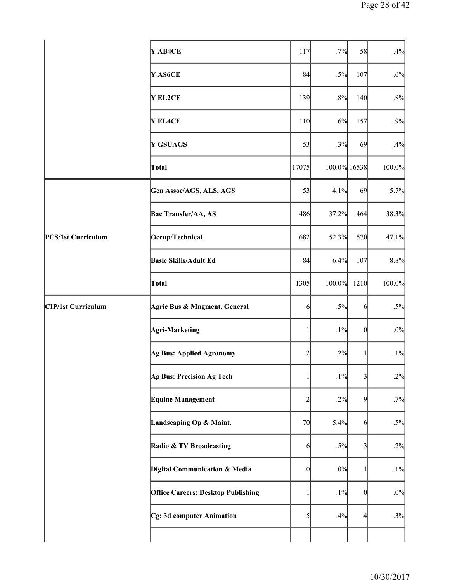|                    | Y AB4CE                                   | 117           | .7%          | 58                      | .4%    |
|--------------------|-------------------------------------------|---------------|--------------|-------------------------|--------|
|                    | Y AS6CE                                   | 84            | $.5\%$       | 107                     | .6%    |
|                    | Y EL2CE                                   | 139           | .8%          | 140                     | $.8\%$ |
|                    | <b>Y EL4CE</b>                            | 110           | .6%          | 157                     | .9%    |
|                    | Y GSUAGS                                  | 53            | .3%          | 69                      | .4%    |
|                    | Total                                     | 17075         | 100.0% 16538 |                         | 100.0% |
|                    | Gen Assoc/AGS, ALS, AGS                   | 53            | 4.1%         | 69                      | 5.7%   |
|                    | Bac Transfer/AA, AS                       | 486           | 37.2%        | 464                     | 38.3%  |
| PCS/1st Curriculum | Occup/Technical                           | 682           | 52.3%        | 570                     | 47.1%  |
|                    | <b>Basic Skills/Adult Ed</b>              | 84            | 6.4%         | 107                     | 8.8%   |
|                    | Total                                     | 1305          | 100.0%       | 1210                    | 100.0% |
| CIP/1st Curriculum | Agric Bus & Mngment, General              | 6             | $.5\%$       | 6                       | $.5\%$ |
|                    | Agri-Marketing                            | $\mathbf{1}$  | $.1\%$       | $\theta$                | $.0\%$ |
|                    | Ag Bus: Applied Agronomy                  | 2             | .2%          | 1                       | $.1\%$ |
|                    | Ag Bus: Precision Ag Tech                 |               | $.1\%$       | $\overline{3}$          | .2%    |
|                    | <b>Equine Management</b>                  | 2             | .2%          | 9                       | .7%    |
|                    | Landscaping Op & Maint.                   | 70            | 5.4%         | 6                       | $.5\%$ |
|                    | Radio & TV Broadcasting                   | 6             | $.5\%$       | $\overline{\mathbf{3}}$ | .2%    |
|                    | Digital Communication & Media             | $\theta$      | $.0\%$       | 1                       | $.1\%$ |
|                    | <b>Office Careers: Desktop Publishing</b> |               | $.1\%$       | $\theta$                | $.0\%$ |
|                    | Cg: 3d computer Animation                 | $\mathcal{S}$ | .4%          | 4                       | .3%    |
|                    |                                           |               |              |                         |        |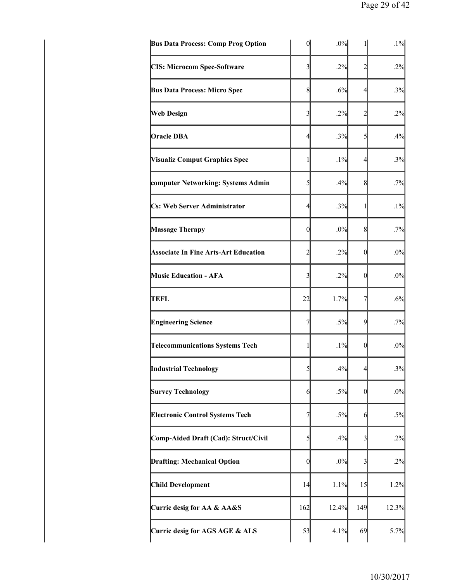| $\boldsymbol{0}$ | .0% | 1                                                                                                                                                                                                                                         | $.1\%$         |
|------------------|-----|-------------------------------------------------------------------------------------------------------------------------------------------------------------------------------------------------------------------------------------------|----------------|
| 3                |     | 2                                                                                                                                                                                                                                         | .2%            |
|                  |     | 4                                                                                                                                                                                                                                         | .3%            |
| 3                |     | $\overline{c}$                                                                                                                                                                                                                            | .2%            |
|                  |     | 5                                                                                                                                                                                                                                         | .4%            |
| 1                |     | 4                                                                                                                                                                                                                                         | .3%            |
| 5                |     | 8                                                                                                                                                                                                                                         | .7%            |
|                  |     | 1                                                                                                                                                                                                                                         | $.1\%$         |
|                  |     | 8                                                                                                                                                                                                                                         | .7%            |
| $\overline{c}$   |     | 0                                                                                                                                                                                                                                         | .0%            |
| 3                |     | $\boldsymbol{0}$                                                                                                                                                                                                                          | .0%            |
|                  |     | 7                                                                                                                                                                                                                                         | .6%            |
| 7                |     | 9                                                                                                                                                                                                                                         | .7%            |
| 1                |     | $\boldsymbol{0}$                                                                                                                                                                                                                          | .0%            |
|                  |     | 4                                                                                                                                                                                                                                         | .3%            |
|                  |     | $\theta$                                                                                                                                                                                                                                  | .0%            |
| 7                |     | 6                                                                                                                                                                                                                                         | $.5\%$         |
| 5                |     | 3                                                                                                                                                                                                                                         | .2%            |
|                  |     | 3                                                                                                                                                                                                                                         | .2%            |
|                  |     | 15                                                                                                                                                                                                                                        | 1.2%           |
|                  |     | 149                                                                                                                                                                                                                                       | 12.3%          |
|                  |     | 69                                                                                                                                                                                                                                        | 5.7%           |
|                  |     | .2%<br>.6%<br>8<br>.2%<br>.3%<br>4<br>$.1\%$<br>.4%<br>.3%<br>4<br>.0%<br>$\overline{0}$<br>.2%<br>.2%<br>1.7%<br>22<br>$.5\%$<br>$.1\%$<br>.4%<br>5<br>6<br>$.5\%$<br>.4%<br>.0%<br>$\boldsymbol{0}$<br>14<br>162<br>12.4%<br>53<br>4.1% | $.5\%$<br>1.1% |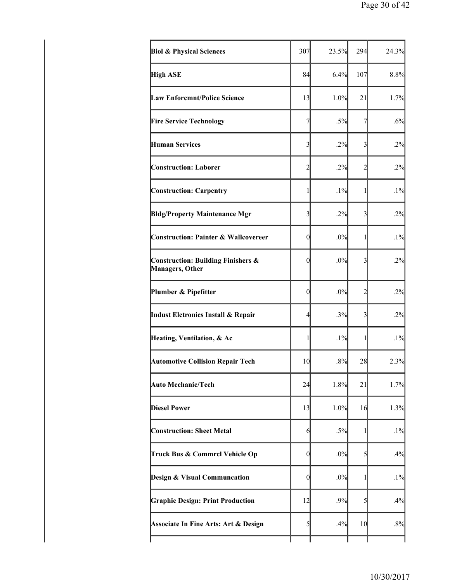| <b>Biol &amp; Physical Sciences</b>                              | 307                     | 23.5%  | 294                     | 24.3%  |
|------------------------------------------------------------------|-------------------------|--------|-------------------------|--------|
| <b>High ASE</b>                                                  | 84                      | 6.4%   | 107                     | 8.8%   |
| <b>Law Enforcmnt/Police Science</b>                              | 13                      | 1.0%   | 21                      | 1.7%   |
| <b>Fire Service Technology</b>                                   | $\overline{7}$          | $.5\%$ | 7                       | .6%    |
| <b>Human Services</b>                                            | $\overline{\mathbf{3}}$ | .2%    | 3                       | .2%    |
| <b>Construction: Laborer</b>                                     | $\overline{c}$          | .2%    | $\overline{2}$          | .2%    |
| <b>Construction: Carpentry</b>                                   | 1                       | $.1\%$ | 1                       | $.1\%$ |
| <b>Bldg/Property Maintenance Mgr</b>                             | $\overline{\mathbf{3}}$ | .2%    | 3                       | .2%    |
| <b>Construction: Painter &amp; Wallcovereer</b>                  | $\boldsymbol{0}$        | .0%    | 1                       | $.1\%$ |
| <b>Construction: Building Finishers &amp;</b><br>Managers, Other | $\boldsymbol{0}$        | .0%    | $\overline{\mathbf{3}}$ | .2%    |
| Plumber & Pipefitter                                             | $\theta$                | .0%    | $\overline{2}$          | .2%    |
| Indust Elctronics Install & Repair                               | $\overline{4}$          | .3%    | 3                       | .2%    |
| Heating, Ventilation, & Ac                                       | 1                       | $.1\%$ | 1                       | $.1\%$ |
| <b>Automotive Collision Repair Tech</b>                          | 10                      | $.8\%$ | 28                      | 2.3%   |
| <b>Auto Mechanic/Tech</b>                                        | 24                      | 1.8%   | 21                      | 1.7%   |
| <b>Diesel Power</b>                                              | 13                      | 1.0%   | 16                      | 1.3%   |
| <b>Construction: Sheet Metal</b>                                 | 6                       | $.5\%$ | 1                       | $.1\%$ |
| Truck Bus & Commrcl Vehicle Op                                   | $\boldsymbol{0}$        | $.0\%$ | 5                       | .4%    |
| Design & Visual Communcation                                     | $\boldsymbol{0}$        | .0%    | 1                       | $.1\%$ |
| <b>Graphic Design: Print Production</b>                          | 12                      | .9%    | 5                       | .4%    |
| <b>Associate In Fine Arts: Art &amp; Design</b>                  | 5                       | .4%    | 10                      | .8%    |
|                                                                  |                         |        |                         |        |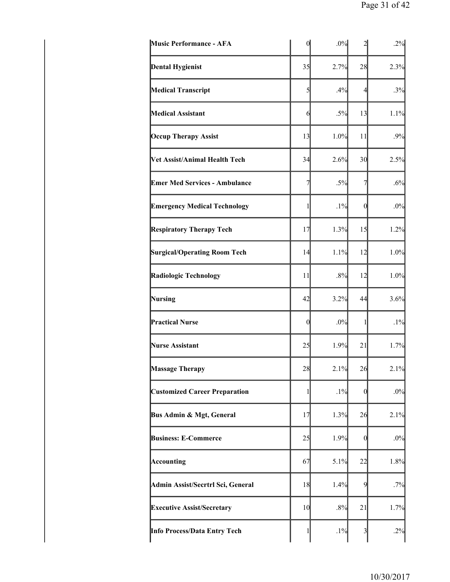| <b>Music Performance - AFA</b>       | $\mathbf{0}$     | .0%    |                  | .2%    |
|--------------------------------------|------------------|--------|------------------|--------|
| <b>Dental Hygienist</b>              | 35               | 2.7%   | 28               | 2.3%   |
| <b>Medical Transcript</b>            | 5                | .4%    | 4                | .3%    |
| <b>Medical Assistant</b>             | 6                | $.5\%$ | 13               | 1.1%   |
| <b>Occup Therapy Assist</b>          | 13               | 1.0%   | 11               | .9%    |
| Vet Assist/Animal Health Tech        | 34               | 2.6%   | 30               | 2.5%   |
| <b>Emer Med Services - Ambulance</b> | $\overline{7}$   | $.5\%$ | 7                | .6%    |
| <b>Emergency Medical Technology</b>  | $\mathbf{1}$     | $.1\%$ | $\boldsymbol{0}$ | $.0\%$ |
| <b>Respiratory Therapy Tech</b>      | 17               | 1.3%   | 15               | 1.2%   |
| <b>Surgical/Operating Room Tech</b>  | 14               | 1.1%   | 12               | 1.0%   |
| Radiologic Technology                | 11               | .8%    | 12               | 1.0%   |
| Nursing                              | 42               | 3.2%   | 44               | 3.6%   |
| <b>Practical Nurse</b>               | $\boldsymbol{0}$ | .0%    | 1                | $.1\%$ |
| <b>Nurse Assistant</b>               | 25               | 1.9%   | 21               | 1.7%   |
| <b>Massage Therapy</b>               | 28               | 2.1%   | 26               | 2.1%   |
| <b>Customized Career Preparation</b> | 1                | $.1\%$ | $\overline{0}$   | $.0\%$ |
| Bus Admin & Mgt, General             | 17               | 1.3%   | 26               | 2.1%   |
| <b>Business: E-Commerce</b>          | 25               | 1.9%   | 0                | $.0\%$ |
| Accounting                           | 67               | 5.1%   | 22               | 1.8%   |
| Admin Assist/Secrtrl Sci, General    | 18               | 1.4%   | 9                | .7%    |
| <b>Executive Assist/Secretary</b>    | 10               | .8%    | 21               | 1.7%   |
| Info Process/Data Entry Tech         | 1                | $.1\%$ | 3                | .2%    |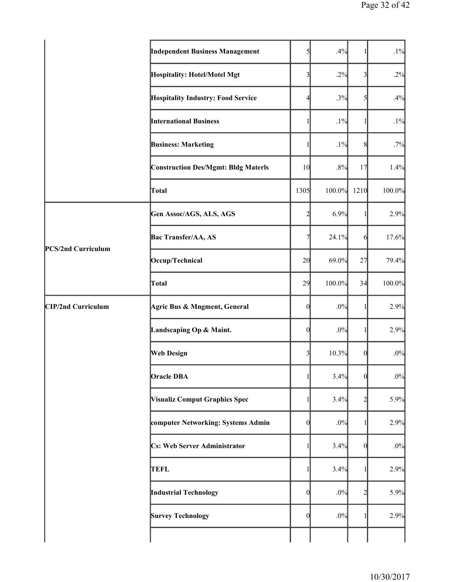|                    | <b>Independent Business Management</b>     | 51                       | .4%    |                         | .1%    |
|--------------------|--------------------------------------------|--------------------------|--------|-------------------------|--------|
|                    | Hospitality: Hotel/Motel Mgt               | $\overline{\mathbf{3}}$  | .2%    | $\overline{\mathbf{3}}$ | .2%    |
|                    | <b>Hospitality Industry: Food Service</b>  | $\overline{\mathcal{A}}$ | .3%    | 5                       | .4%    |
|                    | <b>International Business</b>              | 1                        | $.1\%$ | 1                       | .1%    |
|                    | <b>Business: Marketing</b>                 | 1                        | .1%    | 8                       | .7%    |
|                    | <b>Construction Des/Mgmt: Bldg Materls</b> | 10                       | .8%    | 17                      | 1.4%   |
|                    | Total                                      | 1305                     | 100.0% | 1210                    | 100.0% |
|                    | Gen Assoc/AGS, ALS, AGS                    | $\overline{2}$           | 6.9%   |                         | 2.9%   |
|                    | <b>Bac Transfer/AA, AS</b>                 | 7                        | 24.1%  | 6                       | 17.6%  |
| PCS/2nd Curriculum | Occup/Technical                            | 20                       | 69.0%  | 27                      | 79.4%  |
|                    | Total                                      | 29                       | 100.0% | 34                      | 100.0% |
| CIP/2nd Curriculum | Agric Bus & Mngment, General               | $\theta$                 | $.0\%$ | 1                       | 2.9%   |
|                    | Landscaping Op & Maint.                    | $\mathbf{0}$             | .0%    | 1                       | 2.9%   |
|                    | <b>Web Design</b>                          | $\overline{\mathbf{3}}$  | 10.3%  | $\mathbf{0}$            | $.0\%$ |
|                    | <b>Oracle DBA</b>                          | 1                        | 3.4%   | $\overline{0}$          | $.0\%$ |
|                    | <b>Visualiz Comput Graphics Spec</b>       | 1                        | 3.4%   | $\overline{c}$          | 5.9%   |
|                    | computer Networking: Systems Admin         | $\theta$                 | .0%    | 1                       | 2.9%   |
|                    | <b>Cs: Web Server Administrator</b>        | 1                        | 3.4%   | $\Omega$                | $.0\%$ |
|                    | <b>TEFL</b>                                | 1                        | 3.4%   |                         | 2.9%   |
|                    | <b>Industrial Technology</b>               | $\theta$                 | .0%    | 2                       | 5.9%   |
|                    | <b>Survey Technology</b>                   | $\mathbf{0}$             | $.0\%$ | 1                       | 2.9%   |
|                    |                                            |                          |        |                         |        |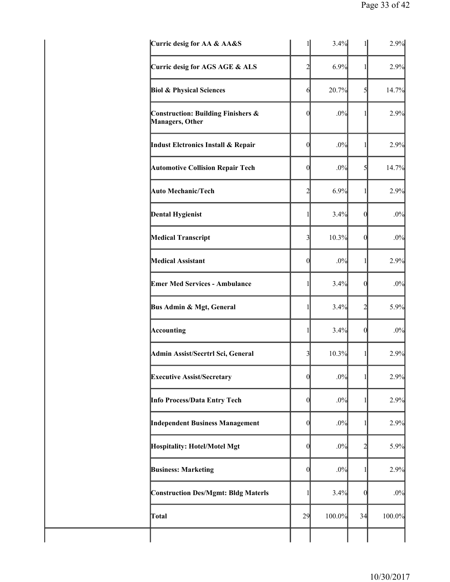| Curric desig for AA & AA&S                                       |                         | 3.4%   |                | 2.9%   |
|------------------------------------------------------------------|-------------------------|--------|----------------|--------|
| Curric desig for AGS AGE & ALS                                   | 2                       | 6.9%   | 1              | 2.9%   |
| <b>Biol &amp; Physical Sciences</b>                              | $\mathcal{L}$           | 20.7%  | $\mathcal{S}$  | 14.7%  |
| <b>Construction: Building Finishers &amp;</b><br>Managers, Other | $\mathbf{0}$            | .0%    | $\mathbf{1}$   | 2.9%   |
| Indust Elctronics Install & Repair                               | $\mathbf{0}$            | .0%    | $\mathbf{1}$   | 2.9%   |
| <b>Automotive Collision Repair Tech</b>                          | $\Omega$                | .0%    | 5              | 14.7%  |
| <b>Auto Mechanic/Tech</b>                                        | 2                       | 6.9%   | 1              | 2.9%   |
| <b>Dental Hygienist</b>                                          | 1                       | 3.4%   | $\theta$       | $.0\%$ |
| <b>Medical Transcript</b>                                        | $\overline{\mathbf{3}}$ | 10.3%  | $\Omega$       | $.0\%$ |
| <b>Medical Assistant</b>                                         | $\theta$                | .0%    | 11             | 2.9%   |
| <b>Emer Med Services - Ambulance</b>                             | 1                       | 3.4%   | $\theta$       | $.0\%$ |
| Bus Admin & Mgt, General                                         | 1                       | 3.4%   | 2              | 5.9%   |
| Accounting                                                       | 1                       | 3.4%   | $\overline{0}$ | $.0\%$ |
| Admin Assist/Secrtrl Sci, General                                | 3                       | 10.3%  | 1              | 2.9%   |
| <b>Executive Assist/Secretary</b>                                | $\overline{0}$          | .0%    | 1              | 2.9%   |
| Info Process/Data Entry Tech                                     | $\overline{0}$          | .0%    | 1              | 2.9%   |
| <b>Independent Business Management</b>                           | $\boldsymbol{0}$        | .0%    | 1              | 2.9%   |
| Hospitality: Hotel/Motel Mgt                                     | 0                       | .0%    | 2              | 5.9%   |
| <b>Business: Marketing</b>                                       | $\overline{0}$          | .0%    | 1              | 2.9%   |
| <b>Construction Des/Mgmt: Bldg Materls</b>                       | 1                       | 3.4%   | $\theta$       | $.0\%$ |
| Total                                                            | 29                      | 100.0% | 34             | 100.0% |
|                                                                  |                         |        |                |        |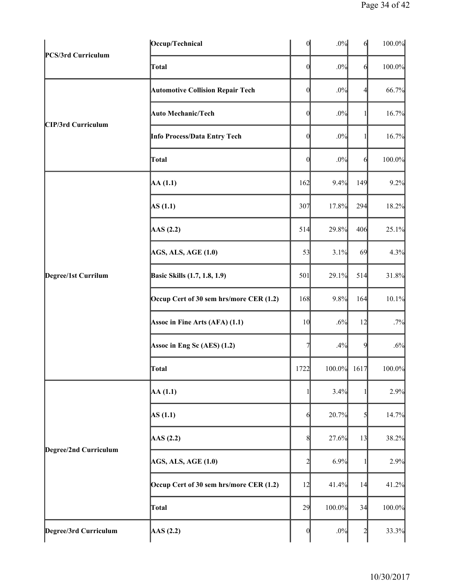| PCS/3rd Curriculum    | Occup/Technical                         | $\mathbf{0}$   | .0%         | 6              | 100.0% |
|-----------------------|-----------------------------------------|----------------|-------------|----------------|--------|
|                       | Total                                   | 0              | .0%         | 6              | 100.0% |
|                       | <b>Automotive Collision Repair Tech</b> | $\overline{0}$ | .0%         | $\overline{4}$ | 66.7%  |
|                       | <b>Auto Mechanic/Tech</b>               | 0              | .0%         | 1              | 16.7%  |
| CIP/3rd Curriculum    | Info Process/Data Entry Tech            | 0              | .0%         |                | 16.7%  |
|                       | Total                                   | 0              | .0%         | 6              | 100.0% |
|                       | AA(1.1)                                 | 162            | 9.4%        | 149            | 9.2%   |
|                       | AS(1.1)                                 | 307            | 17.8%       | 294            | 18.2%  |
|                       | AAS(2.2)                                | 514            | 29.8%       | 406            | 25.1%  |
| Degree/1st Currilum   | <b>AGS, ALS, AGE (1.0)</b>              | 53             | 3.1%        | 69             | 4.3%   |
|                       | <b>Basic Skills</b> (1.7, 1.8, 1.9)     | 501            | 29.1%       | 514            | 31.8%  |
|                       | Occup Cert of 30 sem hrs/more CER (1.2) | 168            | 9.8%        | 164            | 10.1%  |
|                       | Assoc in Fine Arts (AFA) (1.1)          | 10             | .6%         | 12             | .7%    |
|                       | Assoc in Eng Sc (AES) (1.2)             | 7              | .4%         | 9              | .6%    |
|                       | Total                                   | 1722           | 100.0% 1617 |                | 100.0% |
|                       | AA(1.1)                                 |                | 3.4%        |                | 2.9%   |
|                       | AS(1.1)                                 | 6              | 20.7%       | $\mathcal{S}$  | 14.7%  |
|                       | AAS(2.2)                                | 8              | 27.6%       | 13             | 38.2%  |
| Degree/2nd Curriculum | <b>AGS, ALS, AGE (1.0)</b>              | $\overline{2}$ | 6.9%        | 1              | 2.9%   |
|                       | Occup Cert of 30 sem hrs/more CER (1.2) | 12             | 41.4%       | 14             | 41.2%  |
|                       | Total                                   | 29             | 100.0%      | 34             | 100.0% |
| Degree/3rd Curriculum | $\text{AAS}$ (2.2)                      | 0              | .0%         | $\overline{2}$ | 33.3%  |
|                       |                                         |                |             |                |        |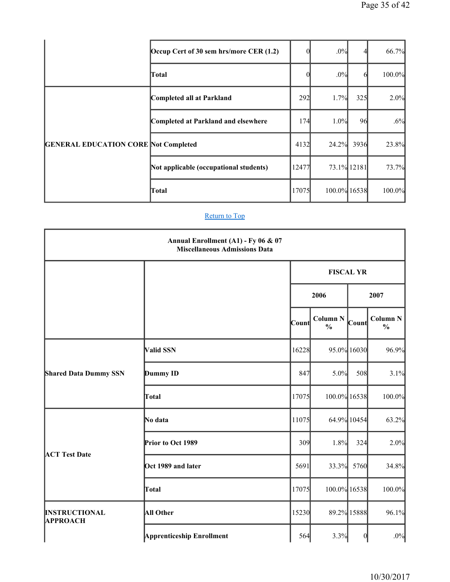|                                             | Occup Cert of 30 sem hrs/more CER (1.2) |       | .0%          |             | 66.7%  |
|---------------------------------------------|-----------------------------------------|-------|--------------|-------------|--------|
|                                             | Total                                   |       | .0%          | 6           | 100.0% |
|                                             | Completed all at Parkland               | 292   | 1.7%         | 325         | 2.0%   |
|                                             | Completed at Parkland and elsewhere     | 174   | 1.0%         | 96          | .6%    |
| <b>GENERAL EDUCATION CORE Not Completed</b> |                                         | 4132  | 24.2%        | 3936        | 23.8%  |
|                                             | Not applicable (occupational students)  | 12477 |              | 73.1% 12181 | 73.7%  |
|                                             | Total                                   | 17075 | 100.0% 16538 |             | 100.0% |

|                                         | Annual Enrollment (A1) - Fy 06 & 07<br><b>Miscellaneous Admissions Data</b> |       |                                  |                  |                                  |  |
|-----------------------------------------|-----------------------------------------------------------------------------|-------|----------------------------------|------------------|----------------------------------|--|
|                                         |                                                                             |       | <b>FISCAL YR</b>                 |                  |                                  |  |
|                                         |                                                                             |       | 2006                             |                  | 2007                             |  |
|                                         |                                                                             | Count | <b>Column N</b><br>$\frac{0}{0}$ | Count            | <b>Column N</b><br>$\frac{0}{0}$ |  |
|                                         | Valid SSN                                                                   | 16228 |                                  | 95.0% 16030      | 96.9%                            |  |
| <b>Shared Data Dummy SSN</b>            | Dummy ID                                                                    | 847   | 5.0%                             | 508              | 3.1%                             |  |
|                                         | Total                                                                       | 17075 | 100.0% 16538                     |                  | 100.0%                           |  |
|                                         | No data                                                                     | 11075 |                                  | 64.9% 10454      | 63.2%                            |  |
|                                         | Prior to Oct 1989                                                           | 309   | 1.8%                             | 324              | 2.0%                             |  |
| <b>ACT Test Date</b>                    | Oct 1989 and later                                                          | 5691  | 33.3%                            | 5760             | 34.8%                            |  |
|                                         | Total                                                                       | 17075 | 100.0% 16538                     |                  | 100.0%                           |  |
| <b>INSTRUCTIONAL</b><br><b>APPROACH</b> | <b>All Other</b>                                                            | 15230 |                                  | 89.2% 15888      | 96.1%                            |  |
|                                         | <b>Apprenticeship Enrollment</b>                                            | 564   | 3.3%                             | $\boldsymbol{0}$ | $.0\%$                           |  |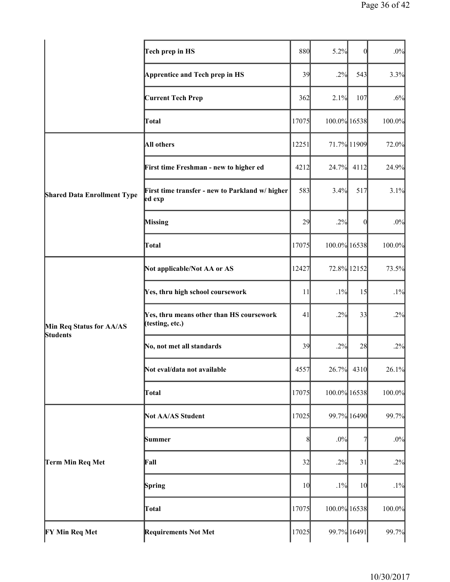|                                    | Tech prep in HS                                             | 880   | 5.2%         | $\vert 0 \vert$ | $.0\%$ |
|------------------------------------|-------------------------------------------------------------|-------|--------------|-----------------|--------|
|                                    | Apprentice and Tech prep in HS                              | 39    | .2%          | 543             | 3.3%   |
|                                    | <b>Current Tech Prep</b>                                    | 362   | 2.1%         | 107             | .6%    |
|                                    | Total                                                       | 17075 | 100.0% 16538 |                 | 100.0% |
|                                    | <b>All others</b>                                           | 12251 |              | 71.7% 11909     | 72.0%  |
|                                    | First time Freshman - new to higher ed                      | 4212  | 24.7%        | 4112            | 24.9%  |
| <b>Shared Data Enrollment Type</b> | First time transfer - new to Parkland w/ higher<br>ed exp   | 583   | 3.4%         | 517             | 3.1%   |
|                                    | <b>Missing</b>                                              | 29    | .2%          | $\theta$        | $.0\%$ |
|                                    | Total                                                       | 17075 | 100.0% 16538 |                 | 100.0% |
|                                    | Not applicable/Not AA or AS                                 | 12427 |              | 72.8% 12152     | 73.5%  |
| Min Req Status for AA/AS           | Yes, thru high school coursework                            | 11    | $.1\%$       | 15              | $.1\%$ |
|                                    | Yes, thru means other than HS coursework<br>(testing, etc.) | 41    | .2%          | 33              | .2%    |
| <b>Students</b>                    | No, not met all standards                                   | 39    | .2%          | 28              | .2%    |
|                                    | Not eval/data not available                                 | 4557  | 26.7%        | 4310            | 26.1%  |
|                                    | Total                                                       | 17075 | 100.0% 16538 |                 | 100.0% |
|                                    | <b>Not AA/AS Student</b>                                    | 17025 |              | 99.7% 16490     | 99.7%  |
|                                    | Summer                                                      | 8     | $.0\%$       | 7               | $.0\%$ |
| Term Min Req Met                   | Fall                                                        | 32    | .2%          | 31              | .2%    |
|                                    | Spring                                                      | 10    | .1%          | 10              | $.1\%$ |
|                                    | Total                                                       | 17075 | 100.0% 16538 |                 | 100.0% |
| <b>FY Min Req Met</b>              | <b>Requirements Not Met</b>                                 | 17025 |              | 99.7% 16491     | 99.7%  |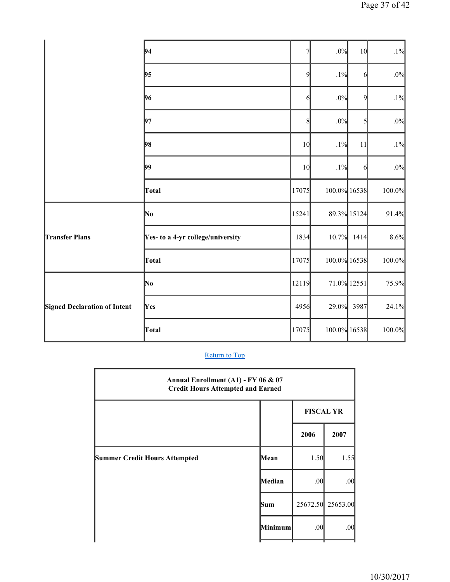|                                     | 94                                | 7     | $.0\%$       | 10          | $.1\%$ |
|-------------------------------------|-----------------------------------|-------|--------------|-------------|--------|
|                                     | 95                                | 9     | $.1\%$       | 6           | $.0\%$ |
|                                     | 96                                | 6     | $.0\%$       | 9           | $.1\%$ |
|                                     | 97                                | 8     | $.0\%$       | 5           | $.0\%$ |
|                                     | 98                                | 10    | $.1\%$       | 11          | $.1\%$ |
|                                     | 99                                | 10    | $.1\%$       | 6           | .0%    |
|                                     | Total                             | 17075 | 100.0% 16538 |             | 100.0% |
|                                     | No                                | 15241 |              | 89.3% 15124 | 91.4%  |
| <b>Transfer Plans</b>               | Yes- to a 4-yr college/university | 1834  | 10.7%        | 1414        | 8.6%   |
|                                     | Total                             | 17075 | 100.0% 16538 |             | 100.0% |
|                                     | No                                | 12119 | 71.0% 12551  |             | 75.9%  |
| <b>Signed Declaration of Intent</b> | Yes                               | 4956  | 29.0%        | 3987        | 24.1%  |
|                                     | Total                             | 17075 | 100.0% 16538 |             | 100.0% |

| Annual Enrollment (A1) - FY 06 & 07<br><b>Credit Hours Attempted and Earned</b> |         |                  |                   |  |  |
|---------------------------------------------------------------------------------|---------|------------------|-------------------|--|--|
|                                                                                 |         | <b>FISCAL YR</b> |                   |  |  |
|                                                                                 |         | 2006             | 2007              |  |  |
| <b>Summer Credit Hours Attempted</b>                                            | Mean    | 1.50             | 1.55              |  |  |
|                                                                                 | Median  | .00              | .00               |  |  |
|                                                                                 | Sum     |                  | 25672.50 25653.00 |  |  |
|                                                                                 | Minimum | .00              | .00               |  |  |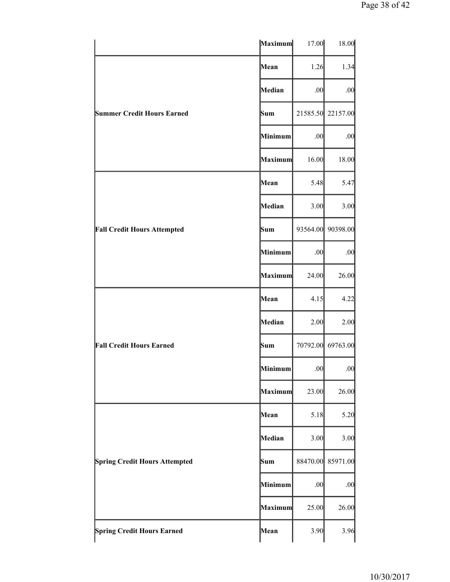|                                      | Maximum | 17.00    | 18.00    |
|--------------------------------------|---------|----------|----------|
|                                      | Mean    | 1.26     | 1.34     |
|                                      | Median  | .00      | .00      |
| <b>Summer Credit Hours Earned</b>    | Sum     | 21585.50 | 22157.00 |
|                                      | Minimum | .00      | .00      |
|                                      | Maximum | 16.00    | 18.00    |
|                                      | Mean    | 5.48     | 5.47     |
|                                      | Median  | 3.00     | 3.00     |
| <b>Fall Credit Hours Attempted</b>   | Sum     | 93564.00 | 90398.00 |
|                                      | Minimum | .00      | .00      |
|                                      | Maximum | 24.00    | 26.00    |
|                                      | Mean    | 4.15     | 4.22     |
|                                      | Median  | 2.00     | 2.00     |
| <b>Fall Credit Hours Earned</b>      | Sum     | 70792.00 | 69763.00 |
|                                      | Minimum | .00      | .00      |
|                                      | Maximum | 23.00    | 26.00    |
|                                      | Mean    | 5.18     | 5.20     |
|                                      | Median  | 3.00     | 3.00     |
| <b>Spring Credit Hours Attempted</b> | Sum     | 88470.00 | 85971.00 |
|                                      | Minimum | .00      | .00      |
|                                      | Maximum | 25.00    | 26.00    |
| <b>Spring Credit Hours Earned</b>    | Mean    | 3.90     | 3.96     |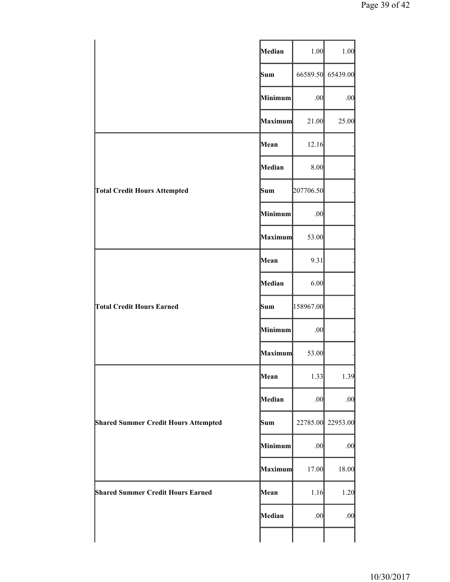|                                             | Median  | 1.00      | 1.00              |
|---------------------------------------------|---------|-----------|-------------------|
|                                             | Sum     |           | 66589.50 65439.00 |
|                                             | Minimum | .00       | .00               |
|                                             | Maximum | 21.00     | 25.00             |
|                                             | Mean    | 12.16     |                   |
|                                             | Median  | 8.00      |                   |
| <b>Total Credit Hours Attempted</b>         | Sum     | 207706.50 |                   |
|                                             | Minimum | .00       |                   |
|                                             | Maximum | 53.00     |                   |
|                                             | Mean    | 9.31      |                   |
|                                             | Median  | 6.00      |                   |
| <b>Total Credit Hours Earned</b>            | Sum     | 158967.00 |                   |
|                                             | Minimum | .00       |                   |
|                                             | Maximum | 53.00     |                   |
|                                             | Mean    | 1.33      | 1.39              |
|                                             | Median  | .00       | .00               |
| <b>Shared Summer Credit Hours Attempted</b> | Sum     |           | 22785.00 22953.00 |
|                                             | Minimum | .00       | .00               |
|                                             | Maximum | 17.00     | 18.00             |
| <b>Shared Summer Credit Hours Earned</b>    | Mean    | 1.16      | 1.20              |
|                                             | Median  | .00       | .00               |
|                                             |         |           |                   |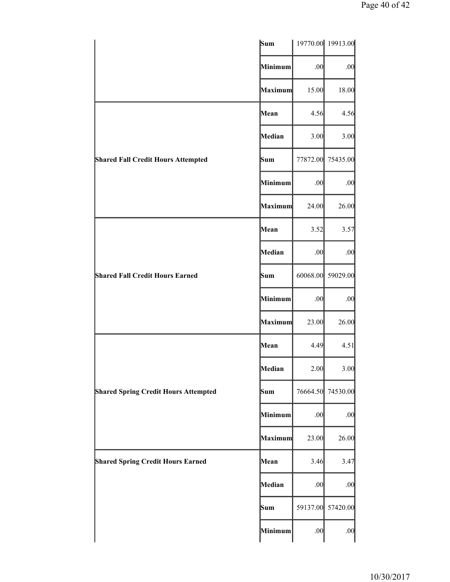|                                             | Sum     |          | 19770.00 19913.00 |
|---------------------------------------------|---------|----------|-------------------|
|                                             | Minimum | .00      | .00               |
|                                             | Maximum | 15.00    | 18.00             |
|                                             | Mean    | 4.56     | 4.56              |
|                                             | Median  | 3.00     | 3.00              |
| <b>Shared Fall Credit Hours Attempted</b>   | Sum     | 77872.00 | 75435.00          |
|                                             | Minimum | .00      | .00               |
|                                             | Maximum | 24.00    | 26.00             |
|                                             | Mean    | 3.52     | 3.57              |
|                                             | Median  | .00      | .00               |
| <b>Shared Fall Credit Hours Earned</b>      | Sum     | 60068.00 | 59029.00          |
|                                             | Minimum | .00      | .00               |
|                                             | Maximum | 23.00    | 26.00             |
|                                             | Mean    | 4.49     | 4.51              |
|                                             | Median  | 2.00     | 3.00              |
| <b>Shared Spring Credit Hours Attempted</b> | Sum     | 76664.50 | 74530.00          |
|                                             | Minimum | .00      | .00               |
|                                             | Maximum | 23.00    | 26.00             |
| <b>Shared Spring Credit Hours Earned</b>    | Mean    | 3.46     | 3.47              |
|                                             | Median  | .00      | .00               |
|                                             | Sum     | 59137.00 | 57420.00          |
|                                             | Minimum | .00      | .00               |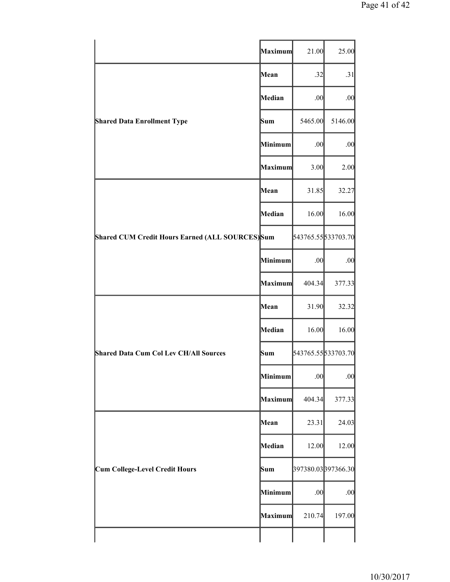|                                                  | Maximum | 21.00   | 25.00              |
|--------------------------------------------------|---------|---------|--------------------|
|                                                  | Mean    | .32     | .31                |
|                                                  | Median  | .00     | .00                |
| <b>Shared Data Enrollment Type</b>               | Sum     | 5465.00 | 5146.00            |
|                                                  | Minimum | .00     | .00                |
|                                                  | Maximum | 3.00    | 2.00               |
|                                                  | Mean    | 31.85   | 32.27              |
|                                                  | Median  | 16.00   | 16.00              |
| Shared CUM Credit Hours Earned (ALL SOURCES) Sum |         |         | 543765.55533703.70 |
|                                                  | Minimum | .00     | .00                |
|                                                  | Maximum | 404.34  | 377.33             |
|                                                  | Mean    | 31.90   | 32.32              |
|                                                  | Median  | 16.00   | 16.00              |
| <b>Shared Data Cum Col Lev CH/All Sources</b>    | Sum     |         | 543765.55533703.70 |
|                                                  | Minimum | .00     | .00                |
|                                                  | Maximum | 404.34  | 377.33             |
|                                                  | Mean    | 23.31   | 24.03              |
|                                                  | Median  | 12.00   | 12.00              |
| <b>Cum College-Level Credit Hours</b>            | Sum     |         | 397380.03397366.30 |
|                                                  | Minimum | .00     | .00                |
|                                                  | Maximum | 210.74  | 197.00             |
|                                                  |         |         |                    |